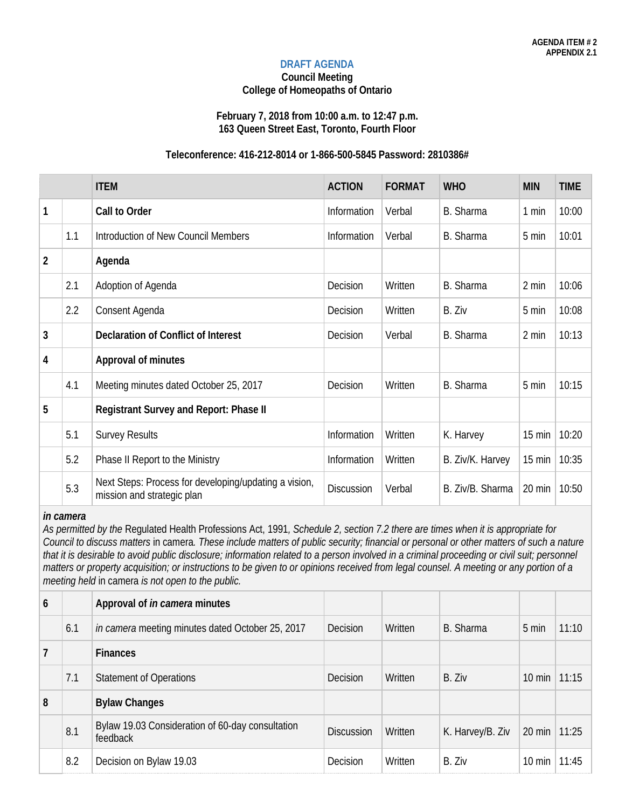#### **DRAFT AGENDA**

#### **Council Meeting College of Homeopaths of Ontario**

#### **February 7, 2018 from 10:00 a.m. to 12:47 p.m. 163 Queen Street East, Toronto, Fourth Floor**

### **Teleconference: 416-212-8014 or 1-866-500-5845 Password: 2810386#**

|                |     | <b>ITEM</b>                                                                         | <b>ACTION</b>     | <b>FORMAT</b> | <b>WHO</b>       | <b>MIN</b>       | <b>TIME</b> |
|----------------|-----|-------------------------------------------------------------------------------------|-------------------|---------------|------------------|------------------|-------------|
| $\mathbf{1}$   |     | Call to Order                                                                       | Information       | Verbal        | B. Sharma        | 1 min            | 10:00       |
|                | 1.1 | Introduction of New Council Members                                                 | Information       | Verbal        | B. Sharma        | 5 min            | 10:01       |
| $\overline{2}$ |     | Agenda                                                                              |                   |               |                  |                  |             |
|                | 2.1 | Adoption of Agenda                                                                  | Decision          | Written       | B. Sharma        | 2 min            | 10:06       |
|                | 2.2 | Consent Agenda                                                                      | Decision          | Written       | B. Ziv           | 5 min            | 10:08       |
| 3              |     | <b>Declaration of Conflict of Interest</b>                                          | Decision          | Verbal        | B. Sharma        | 2 min            | 10:13       |
| $\overline{4}$ |     | <b>Approval of minutes</b>                                                          |                   |               |                  |                  |             |
|                | 4.1 | Meeting minutes dated October 25, 2017                                              | Decision          | Written       | B. Sharma        | 5 min            | 10:15       |
| 5              |     | Registrant Survey and Report: Phase II                                              |                   |               |                  |                  |             |
|                | 5.1 | <b>Survey Results</b>                                                               | Information       | Written       | K. Harvey        | $15 \text{ min}$ | 10:20       |
|                | 5.2 | Phase II Report to the Ministry                                                     | Information       | Written       | B. Ziv/K. Harvey | $15 \text{ min}$ | 10:35       |
|                | 5.3 | Next Steps: Process for developing/updating a vision,<br>mission and strategic plan | <b>Discussion</b> | Verbal        | B. Ziv/B. Sharma | 20 min           | 10:50       |

#### *in camera*

*As permitted by the* Regulated Health Professions Act, 1991*, Schedule 2, section 7.2 there are times when it is appropriate for Council to discuss matters* in camera*. These include matters of public security; financial or personal or other matters of such a nature*  that it is desirable to avoid public disclosure; information related to a person involved in a criminal proceeding or civil suit; personnel *matters or property acquisition; or instructions to be given to or opinions received from legal counsel. A meeting or any portion of a meeting held* in camera *is not open to the public.*

| $\mathfrak b$ |     | Approval of <i>in camera</i> minutes                         |                   |         |                  |                        |       |
|---------------|-----|--------------------------------------------------------------|-------------------|---------|------------------|------------------------|-------|
|               | 6.1 | in camera meeting minutes dated October 25, 2017             | Decision          | Written | B. Sharma        | 5 min                  | 11:10 |
| 7             |     | <b>Finances</b>                                              |                   |         |                  |                        |       |
|               | 7.1 | <b>Statement of Operations</b>                               | Decision          | Written | B. Ziv           | $10 \text{ min}$       | 11:15 |
| 8             |     | <b>Bylaw Changes</b>                                         |                   |         |                  |                        |       |
|               | 8.1 | Bylaw 19.03 Consideration of 60-day consultation<br>feedback | <b>Discussion</b> | Written | K. Harvey/B. Ziv | $20 \text{ min}$ 11:25 |       |
|               | 8.2 | Decision on Bylaw 19.03                                      | Decision          | Written | B. Ziv           | $10 \text{ min}$       | 11:45 |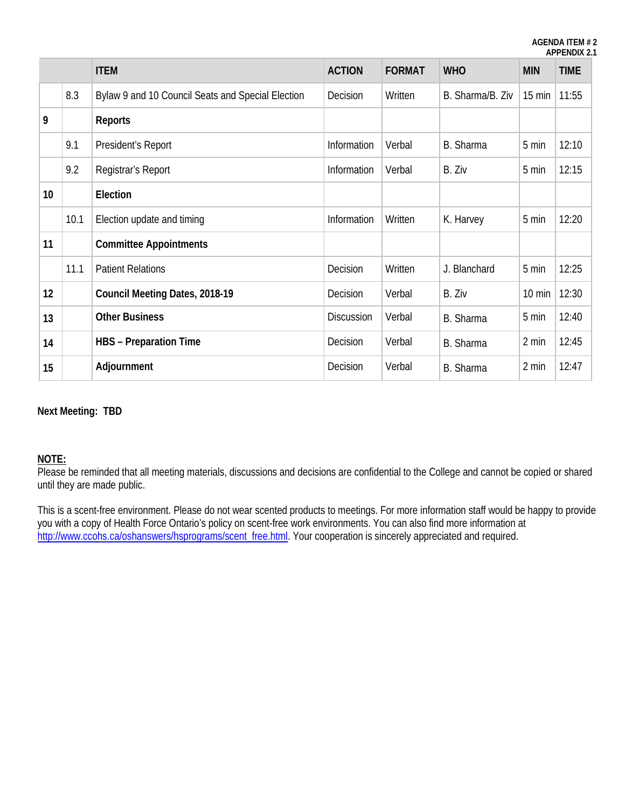**AGENDA ITEM # 2 APPENDIX 2.1**

|                 |      | <b>ITEM</b>                                       | <b>ACTION</b>     | <b>FORMAT</b> | <b>WHO</b>       | <b>MIN</b>       | <b>TIME</b> |
|-----------------|------|---------------------------------------------------|-------------------|---------------|------------------|------------------|-------------|
|                 | 8.3  | Bylaw 9 and 10 Council Seats and Special Election | Decision          | Written       | B. Sharma/B. Ziv | $15 \text{ min}$ | 11:55       |
| 9               |      | <b>Reports</b>                                    |                   |               |                  |                  |             |
|                 | 9.1  | President's Report                                | Information       | Verbal        | B. Sharma        | 5 min            | 12:10       |
|                 | 9.2  | Registrar's Report                                | Information       | Verbal        | B. Ziv           | 5 min            | 12:15       |
| 10 <sup>°</sup> |      | Election                                          |                   |               |                  |                  |             |
|                 | 10.1 | Election update and timing                        | Information       | Written       | K. Harvey        | 5 min            | 12:20       |
| 11              |      | <b>Committee Appointments</b>                     |                   |               |                  |                  |             |
|                 | 11.1 | <b>Patient Relations</b>                          | Decision          | Written       | J. Blanchard     | 5 min            | 12:25       |
| 12              |      | Council Meeting Dates, 2018-19                    | Decision          | Verbal        | B. Ziv           | $10 \text{ min}$ | 12:30       |
| 13              |      | <b>Other Business</b>                             | <b>Discussion</b> | Verbal        | B. Sharma        | 5 min            | 12:40       |
| 14              |      | <b>HBS</b> - Preparation Time                     | Decision          | Verbal        | B. Sharma        | 2 min            | 12:45       |
| 15              |      | Adjournment                                       | Decision          | Verbal        | B. Sharma        | 2 min            | 12:47       |

#### **Next Meeting: TBD**

#### **NOTE:**

Please be reminded that all meeting materials, discussions and decisions are confidential to the College and cannot be copied or shared until they are made public.

This is a scent-free environment. Please do not wear scented products to meetings. For more information staff would be happy to provide you with a copy of Health Force Ontario's policy on scent-free work environments. You can also find more information at [http://www.ccohs.ca/oshanswers/hsprograms/scent\\_free.html.](http://www.ccohs.ca/oshanswers/hsprograms/scent_free.html) Your cooperation is sincerely appreciated and required.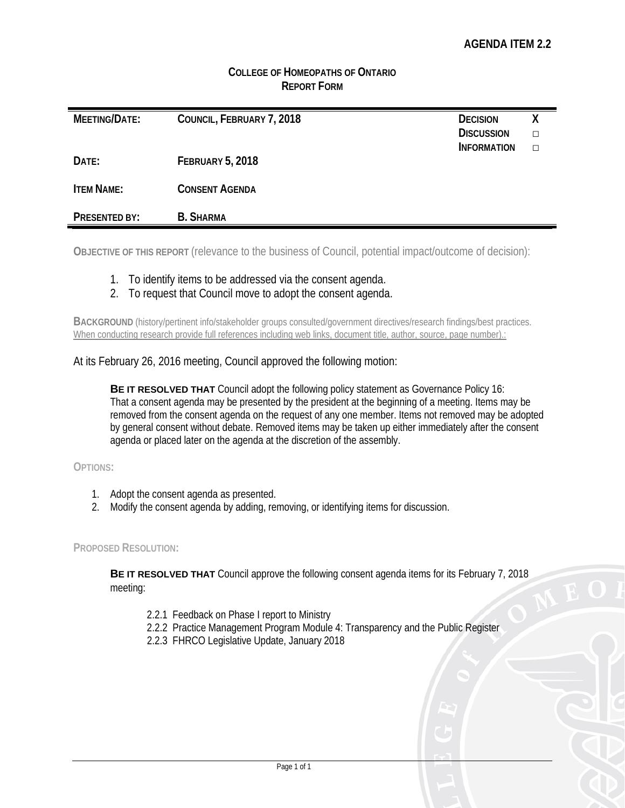## **COLLEGE OF HOMEOPATHS OF ONTARIO REPORT FORM**

| MEETING/DATE:        | COUNCIL, FEBRUARY 7, 2018 | <b>DECISION</b><br><b>DISCUSSION</b> | χ<br>п |
|----------------------|---------------------------|--------------------------------------|--------|
|                      |                           | <b>INFORMATION</b>                   | П      |
| DATE:                | <b>FEBRUARY 5, 2018</b>   |                                      |        |
| <b>ITEM NAME:</b>    | <b>CONSENT AGENDA</b>     |                                      |        |
| <b>PRESENTED BY:</b> | <b>B.</b> SHARMA          |                                      |        |

**OBJECTIVE OF THIS REPORT** (relevance to the business of Council, potential impact/outcome of decision):

- 1. To identify items to be addressed via the consent agenda.
- 2. To request that Council move to adopt the consent agenda.

**BACKGROUND** (history/pertinent info/stakeholder groups consulted/government directives/research findings/best practices. When conducting research provide full references including web links, document title, author, source, page number).:

At its February 26, 2016 meeting, Council approved the following motion:

**BE IT RESOLVED THAT** Council adopt the following policy statement as Governance Policy 16: That a consent agenda may be presented by the president at the beginning of a meeting. Items may be removed from the consent agenda on the request of any one member. Items not removed may be adopted by general consent without debate. Removed items may be taken up either immediately after the consent agenda or placed later on the agenda at the discretion of the assembly.

**OPTIONS:**

- 1. Adopt the consent agenda as presented.
- 2. Modify the consent agenda by adding, removing, or identifying items for discussion.

#### **PROPOSED RESOLUTION:**

**BE IT RESOLVED THAT** Council approve the following consent agenda items for its February 7, 2018 meeting:

- 2.2.1 Feedback on Phase I report to Ministry
- 2.2.2 Practice Management Program Module 4: Transparency and the Public Register
- 2.2.3 FHRCO Legislative Update, January 2018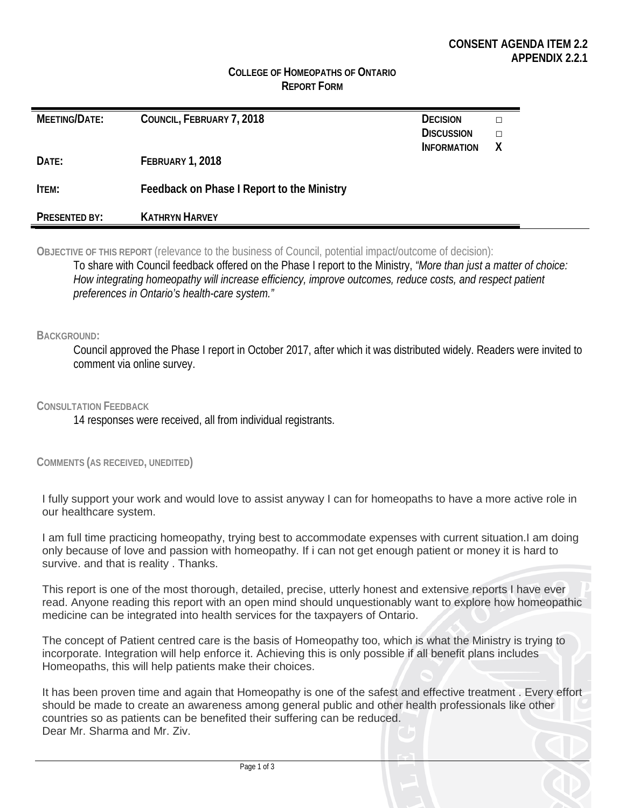#### **COLLEGE OF HOMEOPATHS OF ONTARIO REPORT FORM**

| MEETING/DATE: | COUNCIL, FEBRUARY 7, 2018                  | <b>DECISION</b><br><b>DISCUSSION</b><br><b>INFORMATION</b> | х |
|---------------|--------------------------------------------|------------------------------------------------------------|---|
| DATE:         | <b>FEBRUARY 1, 2018</b>                    |                                                            |   |
| ITEM:         | Feedback on Phase I Report to the Ministry |                                                            |   |
| PRESENTED BY: | <b>KATHRYN HARVEY</b>                      |                                                            |   |

**OBJECTIVE OF THIS REPORT** (relevance to the business of Council, potential impact/outcome of decision): To share with Council feedback offered on the Phase I report to the Ministry, *"More than just a matter of choice: How integrating homeopathy will increase efficiency, improve outcomes, reduce costs, and respect patient preferences in Ontario's health-care system."*

#### **BACKGROUND:**

Council approved the Phase I report in October 2017, after which it was distributed widely. Readers were invited to comment via online survey.

**CONSULTATION FEEDBACK**

14 responses were received, all from individual registrants.

**COMMENTS (AS RECEIVED, UNEDITED)**

I fully support your work and would love to assist anyway I can for homeopaths to have a more active role in our healthcare system.

I am full time practicing homeopathy, trying best to accommodate expenses with current situation.I am doing only because of love and passion with homeopathy. If i can not get enough patient or money it is hard to survive. and that is reality . Thanks.

This report is one of the most thorough, detailed, precise, utterly honest and extensive reports I have ever read. Anyone reading this report with an open mind should unquestionably want to explore how homeopathic medicine can be integrated into health services for the taxpayers of Ontario.

The concept of Patient centred care is the basis of Homeopathy too, which is what the Ministry is trying to incorporate. Integration will help enforce it. Achieving this is only possible if all benefit plans includes Homeopaths, this will help patients make their choices.

It has been proven time and again that Homeopathy is one of the safest and effective treatment . Every effort should be made to create an awareness among general public and other health professionals like other countries so as patients can be benefited their suffering can be reduced. Dear Mr. Sharma and Mr. Ziv.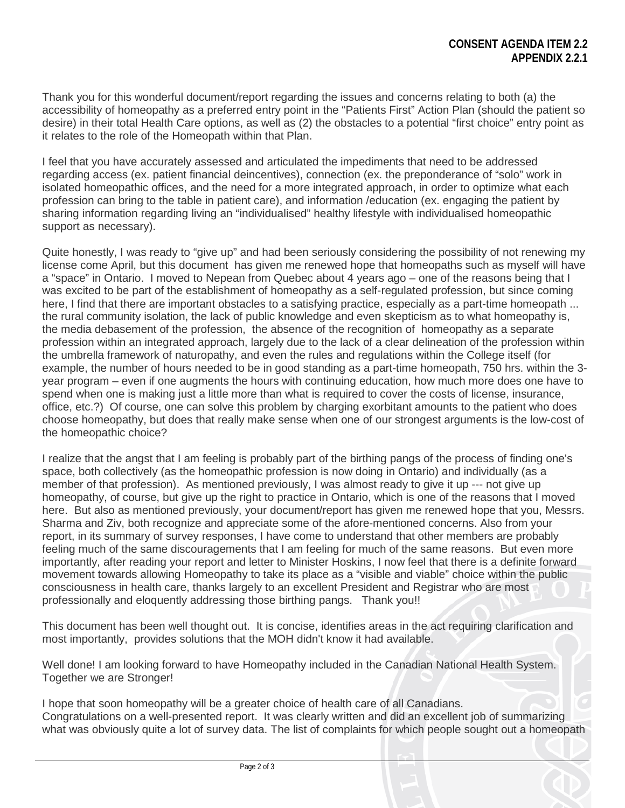Thank you for this wonderful document/report regarding the issues and concerns relating to both (a) the accessibility of homeopathy as a preferred entry point in the "Patients First" Action Plan (should the patient so desire) in their total Health Care options, as well as (2) the obstacles to a potential "first choice" entry point as it relates to the role of the Homeopath within that Plan.

I feel that you have accurately assessed and articulated the impediments that need to be addressed regarding access (ex. patient financial deincentives), connection (ex. the preponderance of "solo" work in isolated homeopathic offices, and the need for a more integrated approach, in order to optimize what each profession can bring to the table in patient care), and information /education (ex. engaging the patient by sharing information regarding living an "individualised" healthy lifestyle with individualised homeopathic support as necessary).

Quite honestly, I was ready to "give up" and had been seriously considering the possibility of not renewing my license come April, but this document has given me renewed hope that homeopaths such as myself will have a "space" in Ontario. I moved to Nepean from Quebec about 4 years ago – one of the reasons being that I was excited to be part of the establishment of homeopathy as a self-regulated profession, but since coming here, I find that there are important obstacles to a satisfying practice, especially as a part-time homeopath ... the rural community isolation, the lack of public knowledge and even skepticism as to what homeopathy is, the media debasement of the profession, the absence of the recognition of homeopathy as a separate profession within an integrated approach, largely due to the lack of a clear delineation of the profession within the umbrella framework of naturopathy, and even the rules and regulations within the College itself (for example, the number of hours needed to be in good standing as a part-time homeopath, 750 hrs. within the 3 year program – even if one augments the hours with continuing education, how much more does one have to spend when one is making just a little more than what is required to cover the costs of license, insurance, office, etc.?) Of course, one can solve this problem by charging exorbitant amounts to the patient who does choose homeopathy, but does that really make sense when one of our strongest arguments is the low-cost of the homeopathic choice?

I realize that the angst that I am feeling is probably part of the birthing pangs of the process of finding one's space, both collectively (as the homeopathic profession is now doing in Ontario) and individually (as a member of that profession). As mentioned previously, I was almost ready to give it up --- not give up homeopathy, of course, but give up the right to practice in Ontario, which is one of the reasons that I moved here. But also as mentioned previously, your document/report has given me renewed hope that you, Messrs. Sharma and Ziv, both recognize and appreciate some of the afore-mentioned concerns. Also from your report, in its summary of survey responses, I have come to understand that other members are probably feeling much of the same discouragements that I am feeling for much of the same reasons. But even more importantly, after reading your report and letter to Minister Hoskins, I now feel that there is a definite forward movement towards allowing Homeopathy to take its place as a "visible and viable" choice within the public consciousness in health care, thanks largely to an excellent President and Registrar who are most professionally and eloquently addressing those birthing pangs. Thank you!!

This document has been well thought out. It is concise, identifies areas in the act requiring clarification and most importantly, provides solutions that the MOH didn't know it had available.

Well done! I am looking forward to have Homeopathy included in the Canadian National Health System. Together we are Stronger!

I hope that soon homeopathy will be a greater choice of health care of all Canadians. Congratulations on a well-presented report. It was clearly written and did an excellent job of summarizing what was obviously quite a lot of survey data. The list of complaints for which people sought out a homeopath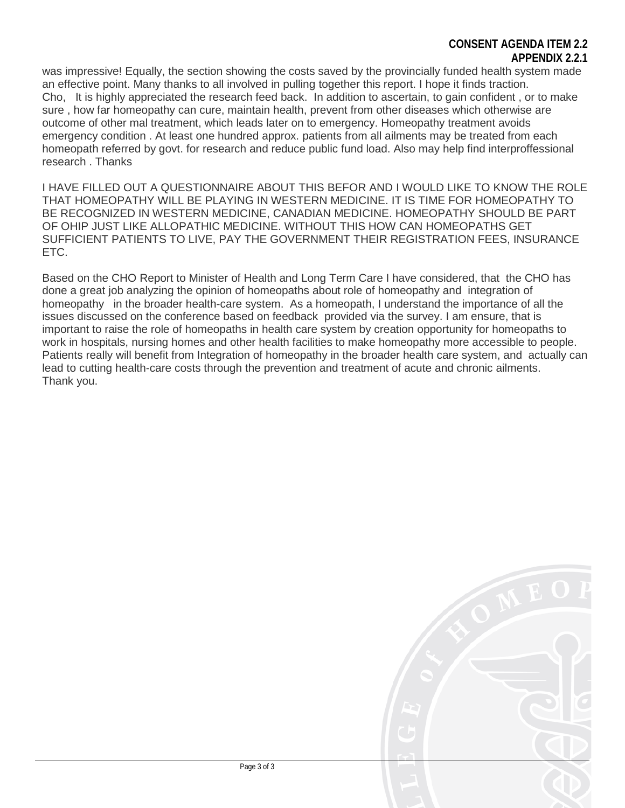### **CONSENT AGENDA ITEM 2.2 APPENDIX 2.2.1**

was impressive! Equally, the section showing the costs saved by the provincially funded health system made an effective point. Many thanks to all involved in pulling together this report. I hope it finds traction. Cho, It is highly appreciated the research feed back. In addition to ascertain, to gain confident , or to make sure , how far homeopathy can cure, maintain health, prevent from other diseases which otherwise are outcome of other mal treatment, which leads later on to emergency. Homeopathy treatment avoids emergency condition . At least one hundred approx. patients from all ailments may be treated from each homeopath referred by govt. for research and reduce public fund load. Also may help find interproffessional research . Thanks

I HAVE FILLED OUT A QUESTIONNAIRE ABOUT THIS BEFOR AND I WOULD LIKE TO KNOW THE ROLE THAT HOMEOPATHY WILL BE PLAYING IN WESTERN MEDICINE. IT IS TIME FOR HOMEOPATHY TO BE RECOGNIZED IN WESTERN MEDICINE, CANADIAN MEDICINE. HOMEOPATHY SHOULD BE PART OF OHIP JUST LIKE ALLOPATHIC MEDICINE. WITHOUT THIS HOW CAN HOMEOPATHS GET SUFFICIENT PATIENTS TO LIVE, PAY THE GOVERNMENT THEIR REGISTRATION FEES, INSURANCE ETC.

Based on the CHO Report to Minister of Health and Long Term Care I have considered, that the CHO has done a great job analyzing the opinion of homeopaths about role of homeopathy and integration of homeopathy in the broader health-care system. As a homeopath, I understand the importance of all the issues discussed on the conference based on feedback provided via the survey. I am ensure, that is important to raise the role of homeopaths in health care system by creation opportunity for homeopaths to work in hospitals, nursing homes and other health facilities to make homeopathy more accessible to people. Patients really will benefit from Integration of homeopathy in the broader health care system, and actually can lead to cutting health-care costs through the prevention and treatment of acute and chronic ailments. Thank you.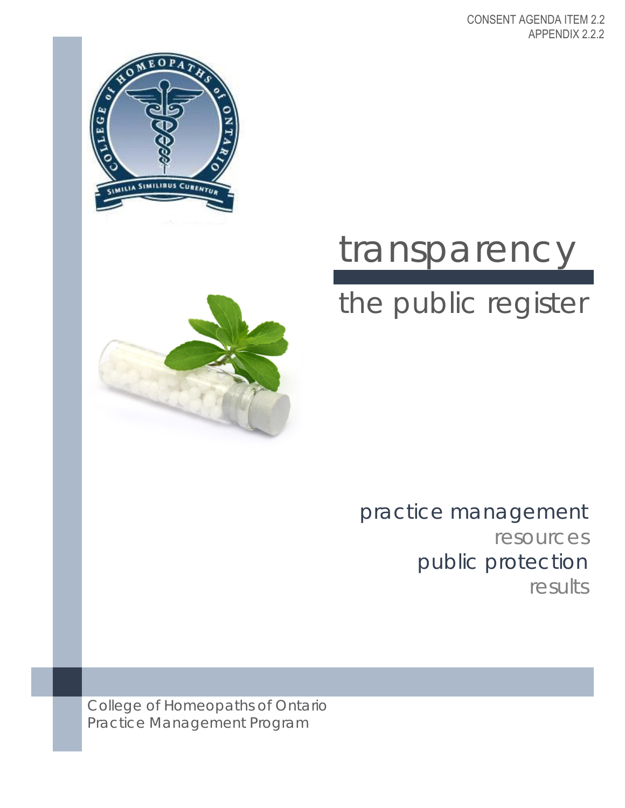CONSENT AGENDA ITEM 2.2 APPENDIX 2.2.2





# transparency

# the public register

practice management resources public protection results

College of Homeopaths of Ontario Practice Management Program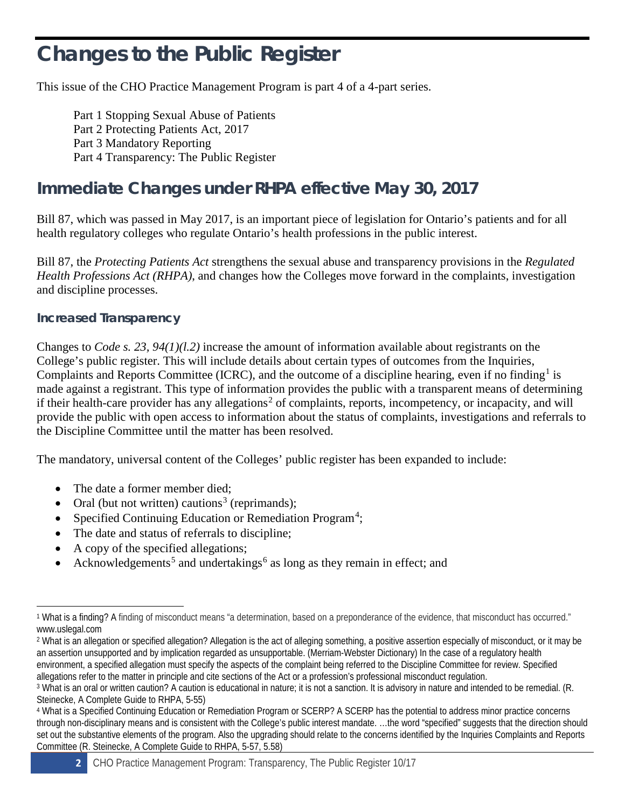# **Changes to the Public Register**

This issue of the CHO Practice Management Program is part 4 of a 4-part series.

Part 1 Stopping Sexual Abuse of Patients Part 2 Protecting Patients Act, 2017 Part 3 Mandatory Reporting Part 4 Transparency: The Public Register

# **Immediate Changes under RHPA effective May 30, 2017**

Bill 87, which was passed in May 2017, is an important piece of legislation for Ontario's patients and for all health regulatory colleges who regulate Ontario's health professions in the public interest.

Bill 87, the *Protecting Patients Act* strengthens the sexual abuse and transparency provisions in the *Regulated Health Professions Act (RHPA)*, and changes how the Colleges move forward in the complaints, investigation and discipline processes.

# **Increased Transparency**

Changes to *Code s. 23, 94(1)(l.2)* increase the amount of information available about registrants on the College's public register. This will include details about certain types of outcomes from the Inquiries, Complaints and Reports Committee (ICRC), and the outcome of a discipline hearing, even if no finding<sup>[1](#page-7-0)</sup> is made against a registrant. This type of information provides the public with a transparent means of determining if their health-care provider has any allegations<sup>[2](#page-7-1)</sup> of complaints, reports, incompetency, or incapacity, and will provide the public with open access to information about the status of complaints, investigations and referrals to the Discipline Committee until the matter has been resolved.

The mandatory, universal content of the Colleges' public register has been expanded to include:

- The date a former member died;
- Oral (but not written) cautions<sup>[3](#page-7-2)</sup> (reprimands);
- Specified Continuing Education or Remediation Program<sup>[4](#page-7-3)</sup>;
- The date and status of referrals to discipline;
- A copy of the specified allegations;
- Acknowledgements<sup>[5](#page-7-4)</sup> and undertakings<sup>[6](#page-7-5)</sup> as long as they remain in effect; and



<span id="page-7-0"></span><sup>1</sup> What is a finding? A finding of misconduct means "a determination, based on a preponderance of the evidence, that misconduct has occurred." www.uslegal.com

<span id="page-7-1"></span><sup>2</sup> What is an allegation or specified allegation? Allegation is the act o[f alleging](https://www.merriam-webster.com/dictionary/allege) something, a positive assertion especially of misconduct, or it may be an assertion unsupported and by implication regarded as unsupportable. (Merriam-Webster Dictionary) In the case of a regulatory health environment, a specified allegation must specify the aspects of the complaint being referred to the Discipline Committee for review. Specified allegations refer to the matter in principle and cite sections of the Act or a profession's professional misconduct regulation.

<span id="page-7-2"></span><sup>3</sup> What is an oral or written caution? A caution is educational in nature; it is not a sanction. It is advisory in nature and intended to be remedial. (R. Steinecke, A Complete Guide to RHPA, 5-55)

<span id="page-7-5"></span><span id="page-7-4"></span><span id="page-7-3"></span><sup>4</sup> What is a Specified Continuing Education or Remediation Program or SCERP? A SCERP has the potential to address minor practice concerns through non-disciplinary means and is consistent with the College's public interest mandate. …the word "specified" suggests that the direction should set out the substantive elements of the program. Also the upgrading should relate to the concerns identified by the Inquiries Complaints and Reports Committee (R. Steinecke, A Complete Guide to RHPA, 5-57, 5.58)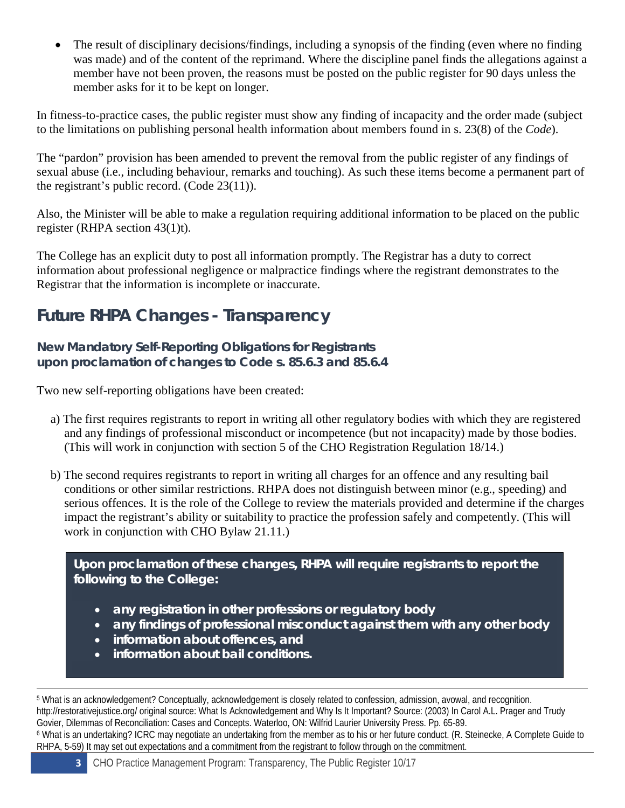The result of disciplinary decisions/findings, including a synopsis of the finding (even where no finding was made) and of the content of the reprimand. Where the discipline panel finds the allegations against a member have not been proven, the reasons must be posted on the public register for 90 days unless the member asks for it to be kept on longer.

In fitness-to-practice cases, the public register must show any finding of incapacity and the order made (subject to the limitations on publishing personal health information about members found in s. 23(8) of the *Code*).

The "pardon" provision has been amended to prevent the removal from the public register of any findings of sexual abuse (i.e., including behaviour, remarks and touching). As such these items become a permanent part of the registrant's public record. (Code 23(11)).

Also, the Minister will be able to make a regulation requiring additional information to be placed on the public register (RHPA section 43(1)t).

The College has an explicit duty to post all information promptly. The Registrar has a duty to correct information about professional negligence or malpractice findings where the registrant demonstrates to the Registrar that the information is incomplete or inaccurate.

# **Future RHPA Changes - Transparency**

**New Mandatory Self-Reporting Obligations for Registrants upon proclamation of changes to Code s. 85.6.3 and 85.6.4** 

Two new self-reporting obligations have been created:

- a) The first requires registrants to report in writing all other regulatory bodies with which they are registered and any findings of professional misconduct or incompetence (but not incapacity) made by those bodies. (This will work in conjunction with section 5 of the CHO Registration Regulation 18/14.)
- b) The second requires registrants to report in writing all charges for an offence and any resulting bail conditions or other similar restrictions. RHPA does not distinguish between minor (e.g., speeding) and serious offences. It is the role of the College to review the materials provided and determine if the charges impact the registrant's ability or suitability to practice the profession safely and competently. (This will work in conjunction with CHO Bylaw 21.11.)

**Upon proclamation of these changes, RHPA will require registrants to report the following to the College:** 

- **any registration in other professions or regulatory body**
- **any findings of professional misconduct against them with any other body**
- **information about offences, and**
- **information about bail conditions.**

<sup>5</sup> What is an acknowledgement? Conceptually, acknowledgement is closely related to confession, admission, avowal, and recognition. http://restorativejustice.org/ original source: What Is Acknowledgement and Why Is It Important? Source: (2003) In Carol A.L. Prager and Trudy Govier, Dilemmas of Reconciliation: Cases and Concepts. Waterloo, ON: Wilfrid Laurier University Press. Pp. 65-89. <sup>6</sup> What is an undertaking? ICRC may negotiate an undertaking from the member as to his or her future conduct. (R. Steinecke, A Complete Guide to RHPA, 5-59) It may set out expectations and a commitment from the registrant to follow through on the commitment.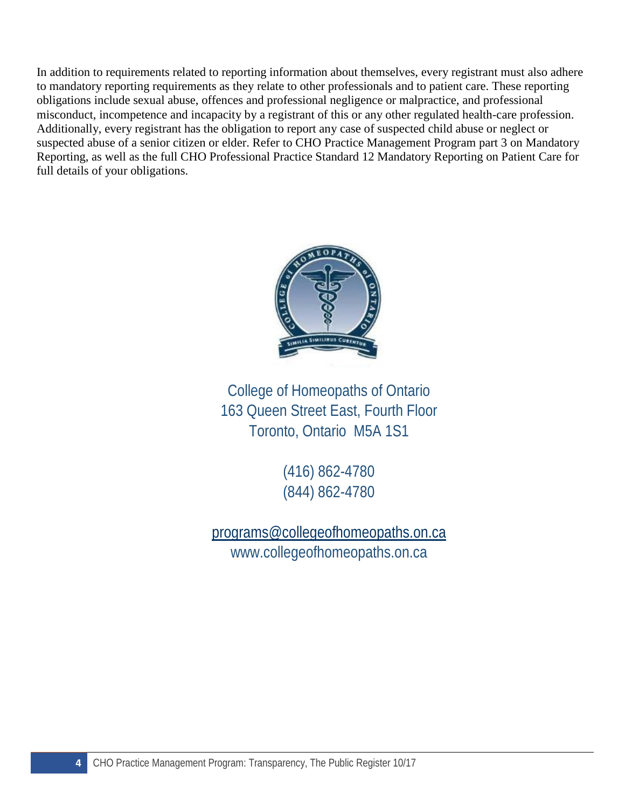In addition to requirements related to reporting information about themselves, every registrant must also adhere to mandatory reporting requirements as they relate to other professionals and to patient care. These reporting obligations include sexual abuse, offences and professional negligence or malpractice, and professional misconduct, incompetence and incapacity by a registrant of this or any other regulated health-care profession. Additionally, every registrant has the obligation to report any case of suspected child abuse or neglect or suspected abuse of a senior citizen or elder. Refer to CHO Practice Management Program part 3 on Mandatory Reporting, as well as the full CHO Professional Practice Standard 12 Mandatory Reporting on Patient Care for full details of your obligations.



College of Homeopaths of Ontario 163 Queen Street East, Fourth Floor Toronto, Ontario M5A 1S1

> (416) 862-4780 (844) 862-4780

[programs@collegeofhomeopaths.on.ca](mailto:info@collegeofhomeopaths.on.ca) www.collegeofhomeopaths.on.ca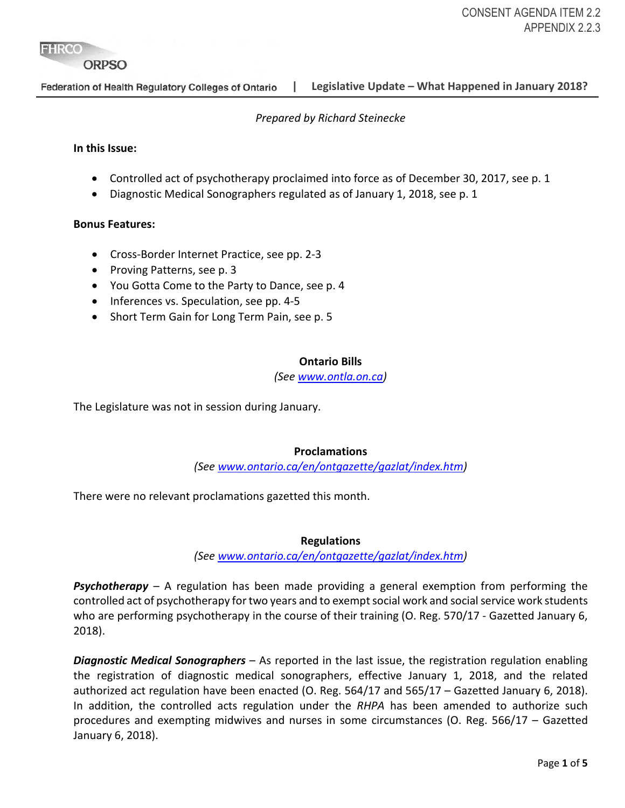**FHRCO** 

#### **ORPSO**

Federation of Health Regulatory Colleges of Ontario

**| Legislative Update – What Happened in January 2018?**

#### *Prepared by Richard Steinecke*

#### **In this Issue:**

- Controlled act of psychotherapy proclaimed into force as of December 30, 2017, see p. 1
- Diagnostic Medical Sonographers regulated as of January 1, 2018, see p. 1

#### **Bonus Features:**

- Cross-Border Internet Practice, see pp. 2-3
- Proving Patterns, see p. 3
- You Gotta Come to the Party to Dance, see p. 4
- Inferences vs. Speculation, see pp. 4-5
- Short Term Gain for Long Term Pain, see p. 5

#### **Ontario Bills**

*(See [www.ontla.on.ca\)](http://www.ontla.on.ca/)* 

The Legislature was not in session during January.

#### **Proclamations**

*(See [www.ontario.ca/en/ontgazette/gazlat/index.htm\)](http://www.ontario.ca/en/ontgazette/gazlat/index.htm)*

There were no relevant proclamations gazetted this month.

#### **Regulations**

*(See [www.ontario.ca/en/ontgazette/gazlat/index.htm\)](http://www.ontario.ca/en/ontgazette/gazlat/index.htm)*

*Psychotherapy* – A regulation has been made providing a general exemption from performing the controlled act of psychotherapy for two years and to exempt social work and social service work students who are performing psychotherapy in the course of their training (O. Reg. 570/17 *-* Gazetted January 6, 2018).

*Diagnostic Medical Sonographers* – As reported in the last issue, the registration regulation enabling the registration of diagnostic medical sonographers, effective January 1, 2018, and the related authorized act regulation have been enacted (O. Reg. 564/17 and 565/17 – Gazetted January 6, 2018). In addition, the controlled acts regulation under the *RHPA* has been amended to authorize such procedures and exempting midwives and nurses in some circumstances (O. Reg. 566/17 – Gazetted January 6, 2018).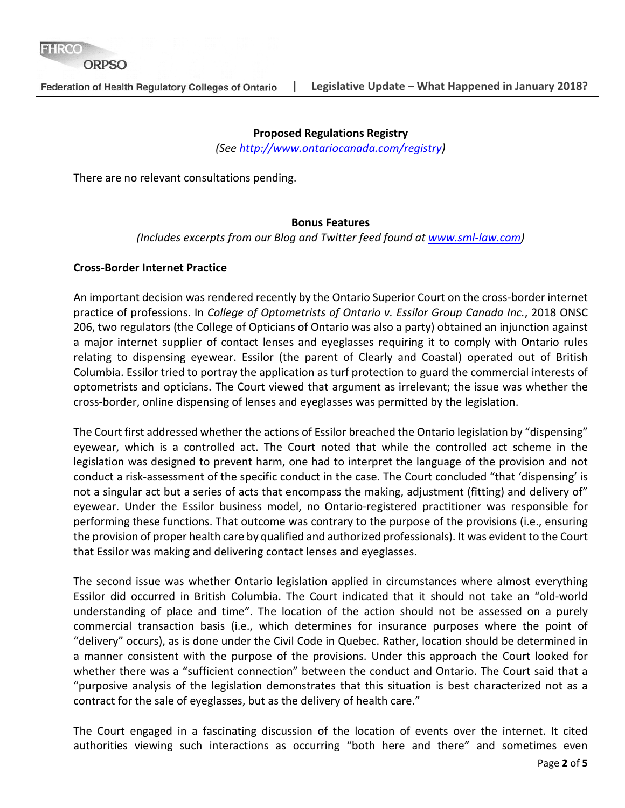#### **Proposed Regulations Registry**

*(See [http://www.ontariocanada.com/registry\)](http://www.ontariocanada.com/registry)*

There are no relevant consultations pending.

#### **Bonus Features**

*(Includes excerpts from our Blog and Twitter feed found at [www.sml-law.com\)](http://www.sml-law.com/)*

#### **Cross-Border Internet Practice**

An important decision was rendered recently by the Ontario Superior Court on the cross-border internet practice of professions. In *College of Optometrists of Ontario v. Essilor Group Canada Inc.*, 2018 ONSC 206, two regulators (the College of Opticians of Ontario was also a party) obtained an injunction against a major internet supplier of contact lenses and eyeglasses requiring it to comply with Ontario rules relating to dispensing eyewear. Essilor (the parent of Clearly and Coastal) operated out of British Columbia. Essilor tried to portray the application as turf protection to guard the commercial interests of optometrists and opticians. The Court viewed that argument as irrelevant; the issue was whether the cross-border, online dispensing of lenses and eyeglasses was permitted by the legislation.

The Court first addressed whether the actions of Essilor breached the Ontario legislation by "dispensing" eyewear, which is a controlled act. The Court noted that while the controlled act scheme in the legislation was designed to prevent harm, one had to interpret the language of the provision and not conduct a risk-assessment of the specific conduct in the case. The Court concluded "that 'dispensing' is not a singular act but a series of acts that encompass the making, adjustment (fitting) and delivery of" eyewear. Under the Essilor business model, no Ontario-registered practitioner was responsible for performing these functions. That outcome was contrary to the purpose of the provisions (i.e., ensuring the provision of proper health care by qualified and authorized professionals). It was evident to the Court that Essilor was making and delivering contact lenses and eyeglasses.

The second issue was whether Ontario legislation applied in circumstances where almost everything Essilor did occurred in British Columbia. The Court indicated that it should not take an "old-world understanding of place and time". The location of the action should not be assessed on a purely commercial transaction basis (i.e., which determines for insurance purposes where the point of "delivery" occurs), as is done under the Civil Code in Quebec. Rather, location should be determined in a manner consistent with the purpose of the provisions. Under this approach the Court looked for whether there was a "sufficient connection" between the conduct and Ontario. The Court said that a "purposive analysis of the legislation demonstrates that this situation is best characterized not as a contract for the sale of eyeglasses, but as the delivery of health care."

The Court engaged in a fascinating discussion of the location of events over the internet. It cited authorities viewing such interactions as occurring "both here and there" and sometimes even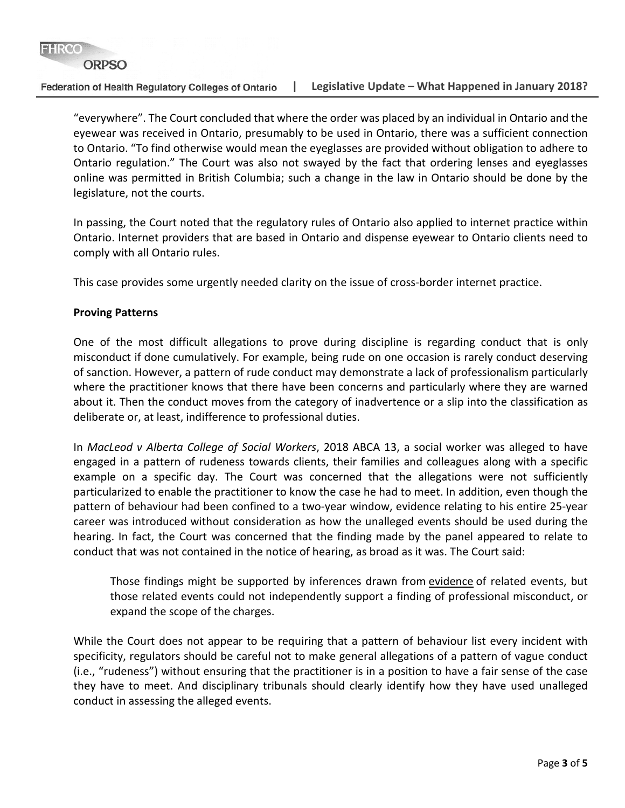#### **ORPSO**

Federation of Health Regulatory Colleges of Ontario

"everywhere". The Court concluded that where the order was placed by an individual in Ontario and the eyewear was received in Ontario, presumably to be used in Ontario, there was a sufficient connection to Ontario. "To find otherwise would mean the eyeglasses are provided without obligation to adhere to Ontario regulation." The Court was also not swayed by the fact that ordering lenses and eyeglasses online was permitted in British Columbia; such a change in the law in Ontario should be done by the legislature, not the courts.

In passing, the Court noted that the regulatory rules of Ontario also applied to internet practice within Ontario. Internet providers that are based in Ontario and dispense eyewear to Ontario clients need to comply with all Ontario rules.

This case provides some urgently needed clarity on the issue of cross-border internet practice.

#### **Proving Patterns**

One of the most difficult allegations to prove during discipline is regarding conduct that is only misconduct if done cumulatively. For example, being rude on one occasion is rarely conduct deserving of sanction. However, a pattern of rude conduct may demonstrate a lack of professionalism particularly where the practitioner knows that there have been concerns and particularly where they are warned about it. Then the conduct moves from the category of inadvertence or a slip into the classification as deliberate or, at least, indifference to professional duties.

In *MacLeod v Alberta College of Social Workers*, 2018 ABCA 13, a social worker was alleged to have engaged in a pattern of rudeness towards clients, their families and colleagues along with a specific example on a specific day. The Court was concerned that the allegations were not sufficiently particularized to enable the practitioner to know the case he had to meet. In addition, even though the pattern of behaviour had been confined to a two-year window, evidence relating to his entire 25-year career was introduced without consideration as how the unalleged events should be used during the hearing. In fact, the Court was concerned that the finding made by the panel appeared to relate to conduct that was not contained in the notice of hearing, as broad as it was. The Court said:

Those findings might be supported by inferences drawn from evidence of related events, but those related events could not independently support a finding of professional misconduct, or expand the scope of the charges.

While the Court does not appear to be requiring that a pattern of behaviour list every incident with specificity, regulators should be careful not to make general allegations of a pattern of vague conduct (i.e., "rudeness") without ensuring that the practitioner is in a position to have a fair sense of the case they have to meet. And disciplinary tribunals should clearly identify how they have used unalleged conduct in assessing the alleged events.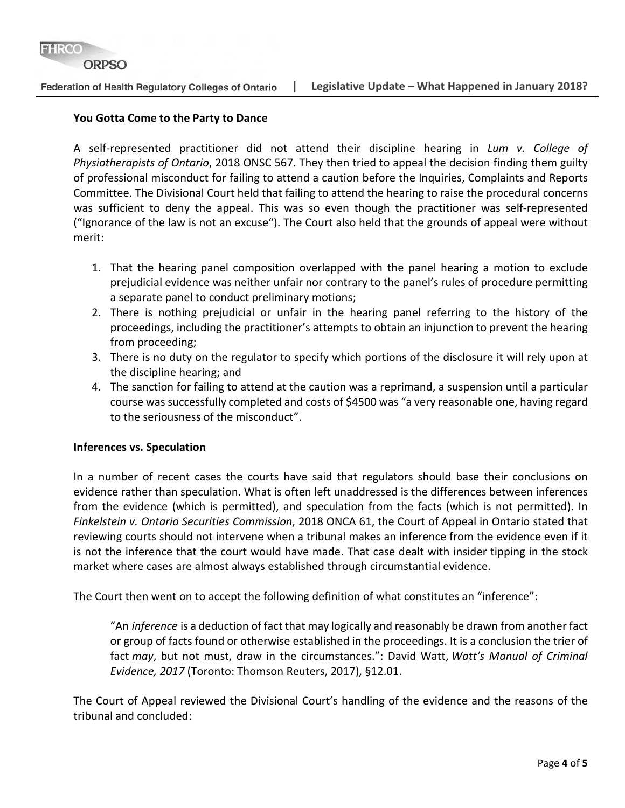#### **ORPSO**

#### Federation of Health Regulatory Colleges of Ontario

#### **You Gotta Come to the Party to Dance**

A self-represented practitioner did not attend their discipline hearing in *Lum v. College of Physiotherapists of Ontario*, 2018 ONSC 567. They then tried to appeal the decision finding them guilty of professional misconduct for failing to attend a caution before the Inquiries, Complaints and Reports Committee. The Divisional Court held that failing to attend the hearing to raise the procedural concerns was sufficient to deny the appeal. This was so even though the practitioner was self-represented ("Ignorance of the law is not an excuse"). The Court also held that the grounds of appeal were without merit:

- 1. That the hearing panel composition overlapped with the panel hearing a motion to exclude prejudicial evidence was neither unfair nor contrary to the panel's rules of procedure permitting a separate panel to conduct preliminary motions;
- 2. There is nothing prejudicial or unfair in the hearing panel referring to the history of the proceedings, including the practitioner's attempts to obtain an injunction to prevent the hearing from proceeding;
- 3. There is no duty on the regulator to specify which portions of the disclosure it will rely upon at the discipline hearing; and
- 4. The sanction for failing to attend at the caution was a reprimand, a suspension until a particular course was successfully completed and costs of \$4500 was "a very reasonable one, having regard to the seriousness of the misconduct".

#### **Inferences vs. Speculation**

In a number of recent cases the courts have said that regulators should base their conclusions on evidence rather than speculation. What is often left unaddressed is the differences between inferences from the evidence (which is permitted), and speculation from the facts (which is not permitted). In *Finkelstein v. Ontario Securities Commission*, 2018 ONCA 61, the Court of Appeal in Ontario stated that reviewing courts should not intervene when a tribunal makes an inference from the evidence even if it is not the inference that the court would have made. That case dealt with insider tipping in the stock market where cases are almost always established through circumstantial evidence.

The Court then went on to accept the following definition of what constitutes an "inference":

"An *inference* is a deduction of fact that may logically and reasonably be drawn from another fact or group of facts found or otherwise established in the proceedings. It is a conclusion the trier of fact *may*, but not must, draw in the circumstances.": David Watt, *Watt's Manual of Criminal Evidence, 2017* (Toronto: Thomson Reuters, 2017), §12.01.

The Court of Appeal reviewed the Divisional Court's handling of the evidence and the reasons of the tribunal and concluded: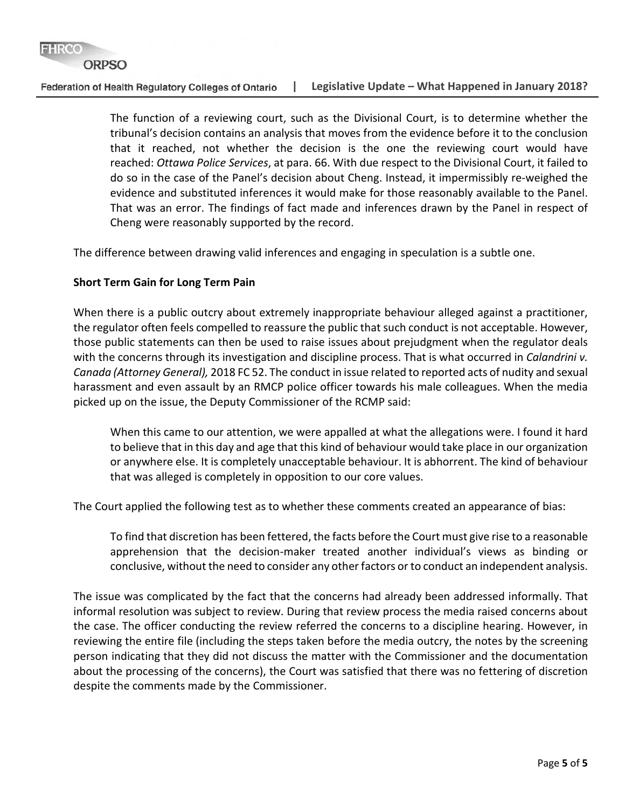#### **ORPSO**

Federation of Health Regulatory Colleges of Ontario **| Legislative Update – What Happened in January 2018?**

> The function of a reviewing court, such as the Divisional Court, is to determine whether the tribunal's decision contains an analysis that moves from the evidence before it to the conclusion that it reached, not whether the decision is the one the reviewing court would have reached: *Ottawa Police Services*, at para. 66. With due respect to the Divisional Court, it failed to do so in the case of the Panel's decision about Cheng. Instead, it impermissibly re-weighed the evidence and substituted inferences it would make for those reasonably available to the Panel. That was an error. The findings of fact made and inferences drawn by the Panel in respect of Cheng were reasonably supported by the record.

The difference between drawing valid inferences and engaging in speculation is a subtle one.

#### **Short Term Gain for Long Term Pain**

When there is a public outcry about extremely inappropriate behaviour alleged against a practitioner, the regulator often feels compelled to reassure the public that such conduct is not acceptable. However, those public statements can then be used to raise issues about prejudgment when the regulator deals with the concerns through its investigation and discipline process. That is what occurred in *Calandrini v. Canada (Attorney General),* 2018 FC 52. The conduct in issue related to reported acts of nudity and sexual harassment and even assault by an RMCP police officer towards his male colleagues. When the media picked up on the issue, the Deputy Commissioner of the RCMP said:

When this came to our attention, we were appalled at what the allegations were. I found it hard to believe that in this day and age that this kind of behaviour would take place in our organization or anywhere else. It is completely unacceptable behaviour. It is abhorrent. The kind of behaviour that was alleged is completely in opposition to our core values.

The Court applied the following test as to whether these comments created an appearance of bias:

To find that discretion has been fettered, the facts before the Court must give rise to a reasonable apprehension that the decision-maker treated another individual's views as binding or conclusive, without the need to consider any other factors or to conduct an independent analysis.

The issue was complicated by the fact that the concerns had already been addressed informally. That informal resolution was subject to review. During that review process the media raised concerns about the case. The officer conducting the review referred the concerns to a discipline hearing. However, in reviewing the entire file (including the steps taken before the media outcry, the notes by the screening person indicating that they did not discuss the matter with the Commissioner and the documentation about the processing of the concerns), the Court was satisfied that there was no fettering of discretion despite the comments made by the Commissioner.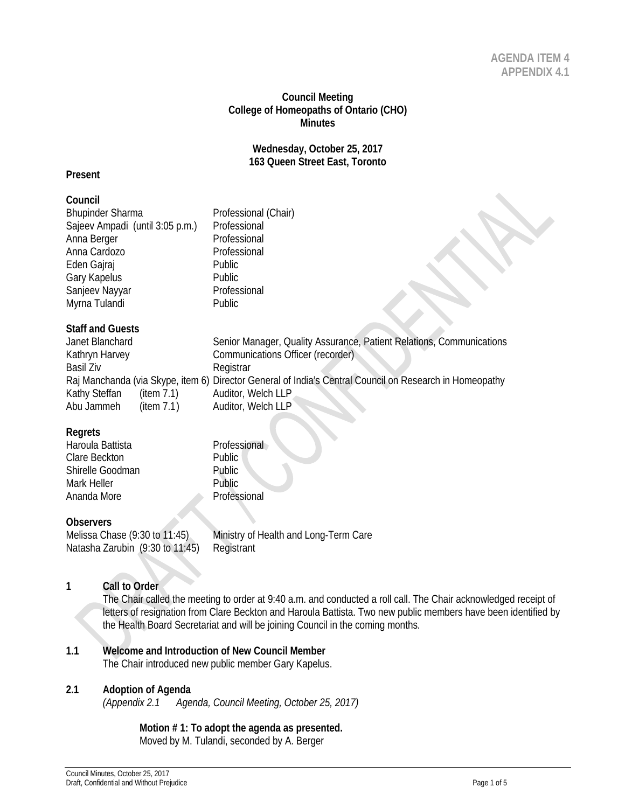#### **Council Meeting College of Homeopaths of Ontario (CHO) Minutes**

#### **Wednesday, October 25, 2017 163 Queen Street East, Toronto**

#### **Present**

#### **Council**

| Council                         |                                                                                                         |
|---------------------------------|---------------------------------------------------------------------------------------------------------|
| <b>Bhupinder Sharma</b>         | Professional (Chair)                                                                                    |
| Sajeev Ampadi (until 3:05 p.m.) | Professional                                                                                            |
| Anna Berger                     | Professional                                                                                            |
| Anna Cardozo                    | Professional                                                                                            |
| Eden Gajraj                     | Public                                                                                                  |
| Gary Kapelus                    | Public                                                                                                  |
| Sanjeev Nayyar                  | Professional                                                                                            |
| Myrna Tulandi                   | Public                                                                                                  |
| <b>Staff and Guests</b>         |                                                                                                         |
| Janet Blanchard                 | Senior Manager, Quality Assurance, Patient Relations, Communications                                    |
| Kathryn Harvey                  | Communications Officer (recorder)                                                                       |
| Basil Ziv                       | Registrar                                                                                               |
|                                 | Raj Manchanda (via Skype, item 6) Director General of India's Central Council on Research in Homeopathy |

#### **Regrets**

| nuyuu            |               |
|------------------|---------------|
| Haroula Battista | Professional  |
| Clare Beckton    | <b>Public</b> |
| Shirelle Goodman | Public        |
| Mark Heller      | Public.       |
| Ananda More      | Professional  |
|                  |               |

Kathy Steffan (item 7.1) Auditor, Welch LLP<br>Abu Jammeh (item 7.1) Auditor, Welch LLP Abu Jammeh (item 7.1) Auditor, Welch LLP

#### **Observers**

Natasha Zarubin (9:30 to 11:45) Registrant

Melissa Chase (9:30 to 11:45) Ministry of Health and Long-Term Care

#### **1 Call to Order**

The Chair called the meeting to order at 9:40 a.m. and conducted a roll call. The Chair acknowledged receipt of letters of resignation from Clare Beckton and Haroula Battista. Two new public members have been identified by the Health Board Secretariat and will be joining Council in the coming months.

## **1.1 Welcome and Introduction of New Council Member**

The Chair introduced new public member Gary Kapelus.

#### **2.1 Adoption of Agenda**

*(Appendix 2.1 Agenda, Council Meeting, October 25, 2017)*

**Motion # 1: To adopt the agenda as presented.** Moved by M. Tulandi, seconded by A. Berger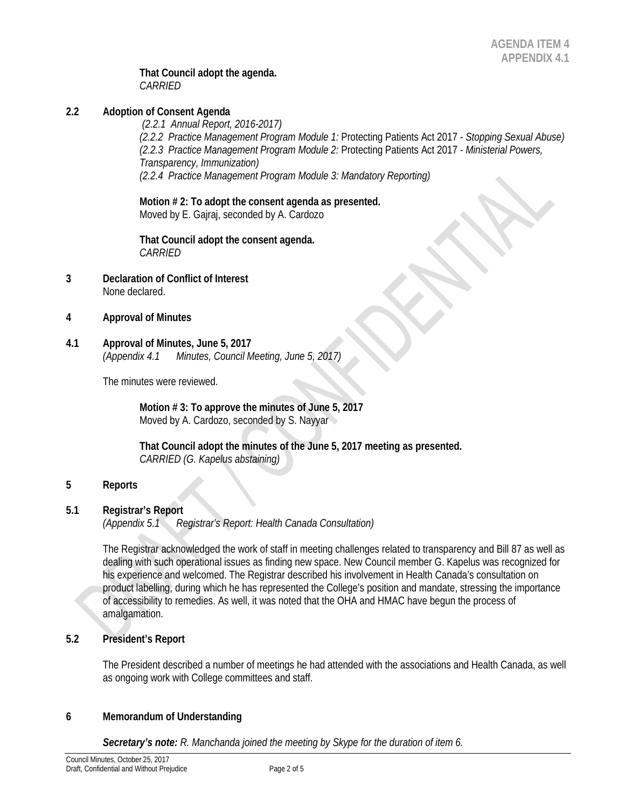#### **That Council adopt the agenda.** *CARRIED*

#### **2.2 Adoption of Consent Agenda**

*(2.2.1 Annual Report, 2016-2017) (2.2.2 Practice Management Program Module 1:* Protecting Patients Act 2017 *- Stopping Sexual Abuse) (2.2.3 Practice Management Program Module 2:* Protecting Patients Act 2017 *- Ministerial Powers, Transparency, Immunization) (2.2.4 Practice Management Program Module 3: Mandatory Reporting)*

**Motion # 2: To adopt the consent agenda as presented.** Moved by E. Gajraj, seconded by A. Cardozo

**That Council adopt the consent agenda.** *CARRIED* 

- **3 Declaration of Conflict of Interest** None declared.
- **4 Approval of Minutes**
- **4.1 Approval of Minutes, June 5, 2017** *(Appendix 4.1 Minutes, Council Meeting, June 5, 2017)*

The minutes were reviewed.

**Motion # 3: To approve the minutes of June 5, 2017** Moved by A. Cardozo, seconded by S. Nayyar

**That Council adopt the minutes of the June 5, 2017 meeting as presented.** *CARRIED (G. Kapelus abstaining)*

#### **5 Reports**

#### **5.1 Registrar's Report**

*(Appendix 5.1 Registrar's Report: Health Canada Consultation)*

The Registrar acknowledged the work of staff in meeting challenges related to transparency and Bill 87 as well as dealing with such operational issues as finding new space. New Council member G. Kapelus was recognized for his experience and welcomed. The Registrar described his involvement in Health Canada's consultation on product labelling, during which he has represented the College's position and mandate, stressing the importance of accessibility to remedies. As well, it was noted that the OHA and HMAC have begun the process of amalgamation.

#### **5.2 President's Report**

The President described a number of meetings he had attended with the associations and Health Canada, as well as ongoing work with College committees and staff.

#### **6 Memorandum of Understanding**

*Secretary's note: R. Manchanda joined the meeting by Skype for the duration of item 6.*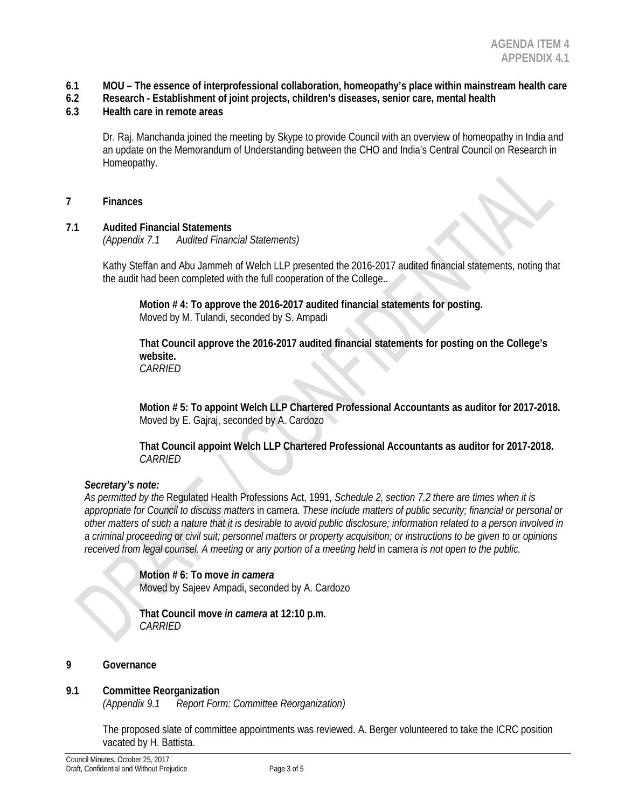- **6.1 MOU – The essence of interprofessional collaboration, homeopathy's place within mainstream health care**
- **6.2 Research - Establishment of joint projects, children's diseases, senior care, mental health**

#### **6.3 Health care in remote areas**

Dr. Raj. Manchanda joined the meeting by Skype to provide Council with an overview of homeopathy in India and an update on the Memorandum of Understanding between the CHO and India's Central Council on Research in Homeopathy.

#### **7 Finances**

#### **7.1 Audited Financial Statements**

*(Appendix 7.1 Audited Financial Statements)*

Kathy Steffan and Abu Jammeh of Welch LLP presented the 2016-2017 audited financial statements, noting that the audit had been completed with the full cooperation of the College..

**Motion # 4: To approve the 2016-2017 audited financial statements for posting.** Moved by M. Tulandi, seconded by S. Ampadi

**That Council approve the 2016-2017 audited financial statements for posting on the College's website.** *CARRIED*

**Motion # 5: To appoint Welch LLP Chartered Professional Accountants as auditor for 2017-2018.** Moved by E. Gajraj, seconded by A. Cardozo

**That Council appoint Welch LLP Chartered Professional Accountants as auditor for 2017-2018.** *CARRIED*

#### *Secretary's note:*

*As permitted by the* Regulated Health Professions Act, 1991*, Schedule 2, section 7.2 there are times when it is appropriate for Council to discuss matters* in camera*. These include matters of public security; financial or personal or other matters of such a nature that it is desirable to avoid public disclosure; information related to a person involved in a criminal proceeding or civil suit; personnel matters or property acquisition; or instructions to be given to or opinions received from legal counsel. A meeting or any portion of a meeting held in camera is not open to the public.* 

> **Motion # 6: To move** *in camera* Moved by Sajeev Ampadi, seconded by A. Cardozo

**That Council move** *in camera* **at 12:10 p.m.** *CARRIED* 

#### **9 Governance**

#### **9.1 Committee Reorganization**

*(Appendix 9.1 Report Form: Committee Reorganization)*

The proposed slate of committee appointments was reviewed. A. Berger volunteered to take the ICRC position vacated by H. Battista.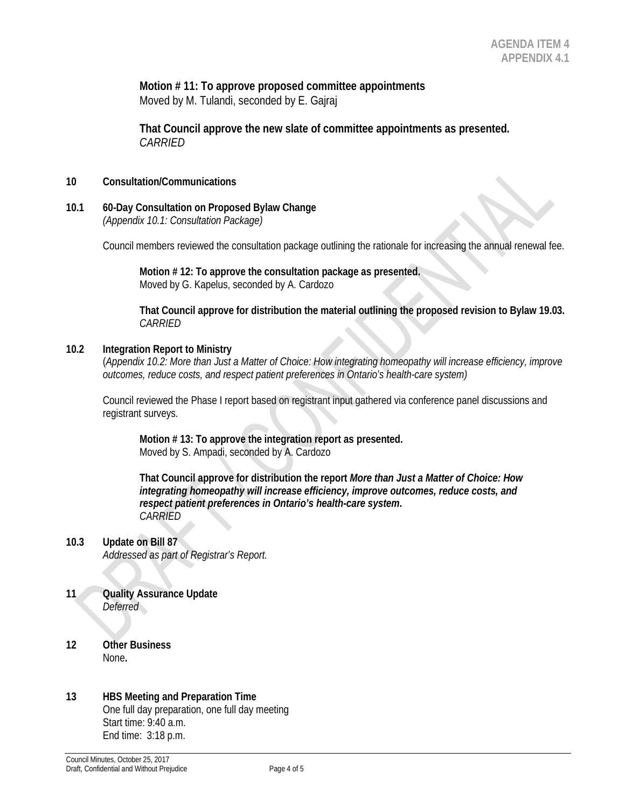**Motion # 11: To approve proposed committee appointments** Moved by M. Tulandi, seconded by E. Gajraj

**That Council approve the new slate of committee appointments as presented.** *CARRIED*

#### **10 Consultation/Communications**

**10.1 60-Day Consultation on Proposed Bylaw Change** *(Appendix 10.1: Consultation Package)*

Council members reviewed the consultation package outlining the rationale for increasing the annual renewal fee.

**Motion # 12: To approve the consultation package as presented.** Moved by G. Kapelus, seconded by A. Cardozo

**That Council approve for distribution the material outlining the proposed revision to Bylaw 19.03.** *CARRIED* 

#### **10.2 Integration Report to Ministry**

(*Appendix 10.2: More than Just a Matter of Choice: How integrating homeopathy will increase efficiency, improve outcomes, reduce costs, and respect patient preferences in Ontario's health-care system)*

Council reviewed the Phase I report based on registrant input gathered via conference panel discussions and registrant surveys.

**Motion # 13: To approve the integration report as presented.** Moved by S. Ampadi, seconded by A. Cardozo

**That Council approve for distribution the report** *More than Just a Matter of Choice: How integrating homeopathy will increase efficiency, improve outcomes, reduce costs, and respect patient preferences in Ontario's health-care system***.** *CARRIED* 

- **10.3 Update on Bill 87** *Addressed as part of Registrar's Report.*
- **11 Quality Assurance Update** *Deferred*
- **12 Other Business** None**.**

#### **13 HBS Meeting and Preparation Time** One full day preparation, one full day meeting Start time: 9:40 a.m. End time: 3:18 p.m.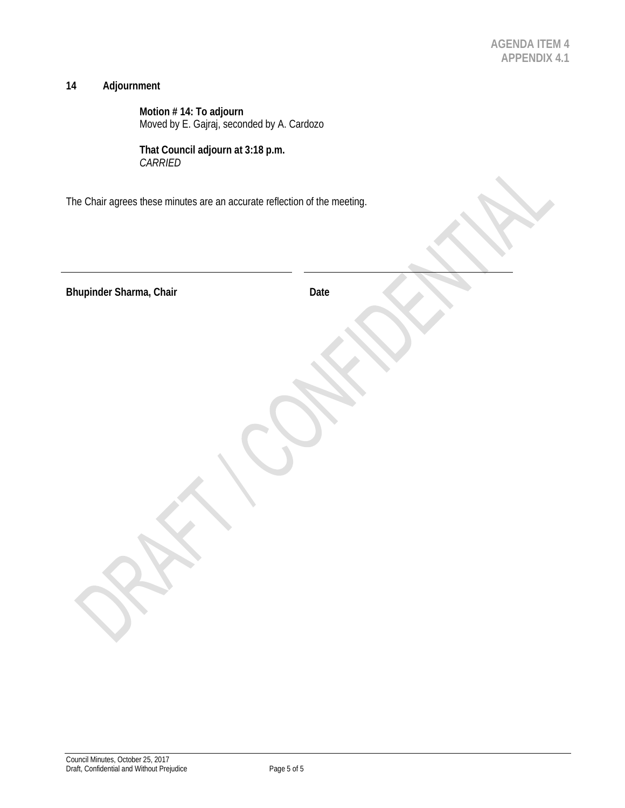$\lambda$ 

V

X

# **14 Adjournment**

**Motion # 14: To adjourn** Moved by E. Gajraj, seconded by A. Cardozo

**That Council adjourn at 3:18 p.m.** *CARRIED* 

The Chair agrees these minutes are an accurate reflection of the meeting.

| Bhupinder Sharma, Chair | Date |
|-------------------------|------|
|                         |      |
|                         |      |
|                         |      |
|                         |      |
|                         |      |
|                         |      |
|                         |      |
|                         |      |
|                         |      |
|                         |      |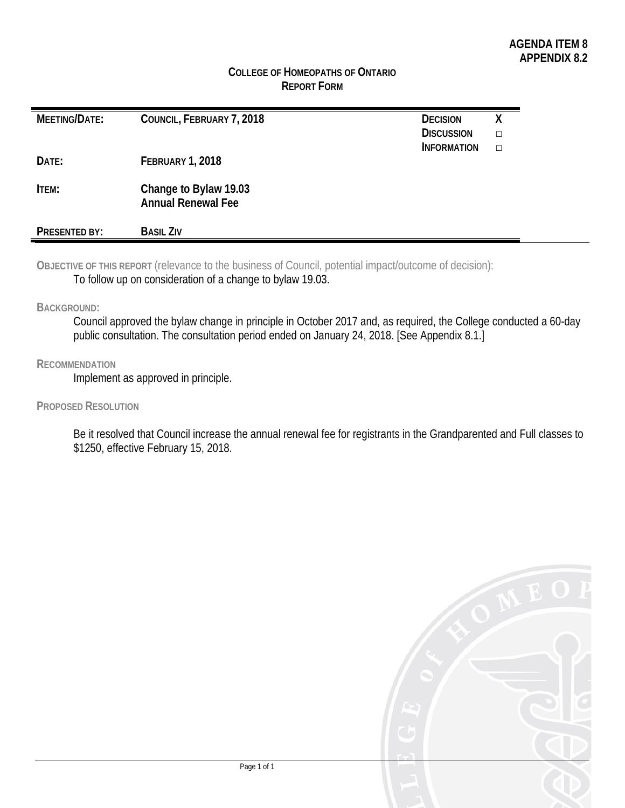# **COLLEGE OF HOMEOPATHS OF ONTARIO REPORT FORM**

| MEETING/DATE: | COUNCIL, FEBRUARY 7, 2018                          | <b>DECISION</b><br><b>DISCUSSION</b> | χ      |
|---------------|----------------------------------------------------|--------------------------------------|--------|
| DATE:         | <b>FEBRUARY 1, 2018</b>                            | <b>INFORMATION</b>                   | $\Box$ |
| <b>ITEM:</b>  | Change to Bylaw 19.03<br><b>Annual Renewal Fee</b> |                                      |        |
| PRESENTED BY: | <b>BASIL ZIV</b>                                   |                                      |        |

**OBJECTIVE OF THIS REPORT** (relevance to the business of Council, potential impact/outcome of decision): To follow up on consideration of a change to bylaw 19.03.

**BACKGROUND:**

Council approved the bylaw change in principle in October 2017 and, as required, the College conducted a 60-day public consultation. The consultation period ended on January 24, 2018. [See Appendix 8.1.]

#### **RECOMMENDATION**

Implement as approved in principle.

**PROPOSED RESOLUTION**

Be it resolved that Council increase the annual renewal fee for registrants in the Grandparented and Full classes to \$1250, effective February 15, 2018.

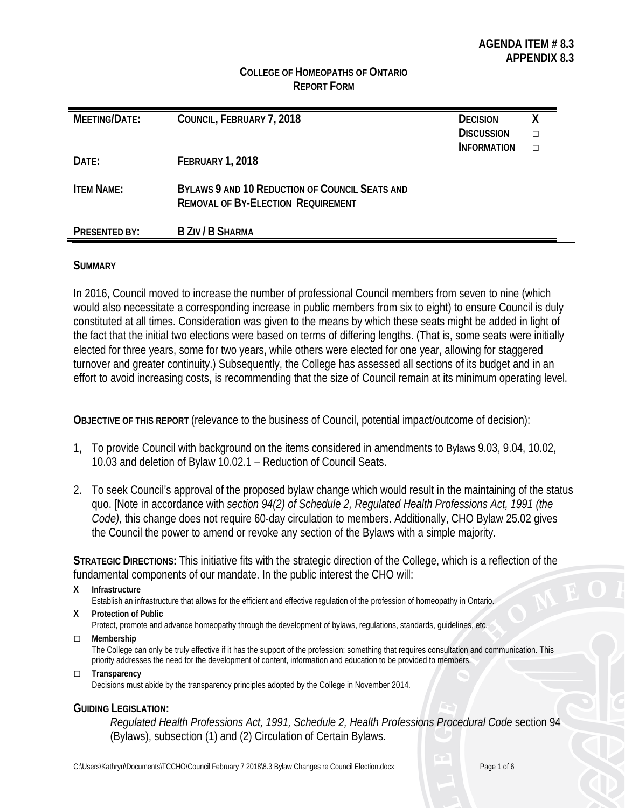## **COLLEGE OF HOMEOPATHS OF ONTARIO REPORT FORM**

| MEETING/DATE:     | COUNCIL, FEBRUARY 7, 2018                                                                   | <b>DECISION</b>    | х |
|-------------------|---------------------------------------------------------------------------------------------|--------------------|---|
|                   |                                                                                             | <b>DISCUSSION</b>  |   |
|                   |                                                                                             | <b>INFORMATION</b> |   |
| DATE:             | FEBRUARY 1, 2018                                                                            |                    |   |
| <b>ITEM NAME:</b> | BYLAWS 9 AND 10 REDUCTION OF COUNCIL SEATS AND<br><b>REMOVAL OF BY-ELECTION REQUIREMENT</b> |                    |   |
| PRESENTED BY:     | B ZIV / B SHARMA                                                                            |                    |   |

#### **SUMMARY**

In 2016, Council moved to increase the number of professional Council members from seven to nine (which would also necessitate a corresponding increase in public members from six to eight) to ensure Council is duly constituted at all times. Consideration was given to the means by which these seats might be added in light of the fact that the initial two elections were based on terms of differing lengths. (That is, some seats were initially elected for three years, some for two years, while others were elected for one year, allowing for staggered turnover and greater continuity.) Subsequently, the College has assessed all sections of its budget and in an effort to avoid increasing costs, is recommending that the size of Council remain at its minimum operating level.

**OBJECTIVE OF THIS REPORT** (relevance to the business of Council, potential impact/outcome of decision):

- 1, To provide Council with background on the items considered in amendments to Bylaws 9.03, 9.04, 10.02, 10.03 and deletion of Bylaw 10.02.1 – Reduction of Council Seats.
- 2. To seek Council's approval of the proposed bylaw change which would result in the maintaining of the status quo. [Note in accordance with *section 94(2) of Schedule 2, Regulated Health Professions Act, 1991 (the Code)*, this change does not require 60-day circulation to members. Additionally, CHO Bylaw 25.02 gives the Council the power to amend or revoke any section of the Bylaws with a simple majority.

**STRATEGIC DIRECTIONS:** This initiative fits with the strategic direction of the College, which is a reflection of the fundamental components of our mandate. In the public interest the CHO will:

**X Infrastructure**

Establish an infrastructure that allows for the efficient and effective regulation of the profession of homeopathy in Ontario.

- **X Protection of Public** Protect, promote and advance homeopathy through the development of bylaws, regulations, standards, guidelines, etc.
- **□ Membership**

The College can only be truly effective if it has the support of the profession; something that requires consultation and communication. This priority addresses the need for the development of content, information and education to be provided to members.

**□ Transparency**

Decisions must abide by the transparency principles adopted by the College in November 2014.

#### **GUIDING LEGISLATION:**

*Regulated Health Professions Act, 1991, Schedule 2, Health Professions Procedural Code* section 94 (Bylaws), subsection (1) and (2) Circulation of Certain Bylaws.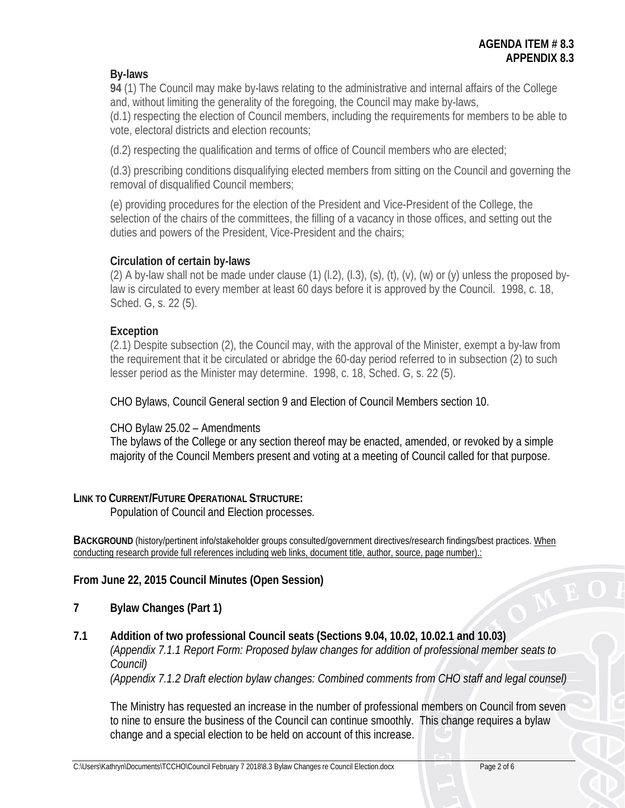# **By-laws**

**94** (1) The Council may make by-laws relating to the administrative and internal affairs of the College and, without limiting the generality of the foregoing, the Council may make by-laws,

(d.1) respecting the election of Council members, including the requirements for members to be able to vote, electoral districts and election recounts;

(d.2) respecting the qualification and terms of office of Council members who are elected;

(d.3) prescribing conditions disqualifying elected members from sitting on the Council and governing the removal of disqualified Council members;

(e) providing procedures for the election of the President and Vice-President of the College, the selection of the chairs of the committees, the filling of a vacancy in those offices, and setting out the duties and powers of the President, Vice-President and the chairs;

# **Circulation of certain by-laws**

(2) A by-law shall not be made under clause (1)  $(1, 2)$ ,  $(1, 3)$ ,  $(s)$ ,  $(t)$ ,  $(v)$ ,  $(w)$  or  $(v)$  unless the proposed bylaw is circulated to every member at least 60 days before it is approved by the Council. 1998, c. 18, Sched. G, s. 22 (5).

# **Exception**

(2.1) Despite subsection (2), the Council may, with the approval of the Minister, exempt a by-law from the requirement that it be circulated or abridge the 60-day period referred to in subsection (2) to such lesser period as the Minister may determine. 1998, c. 18, Sched. G, s. 22 (5).

CHO Bylaws, Council General section 9 and Election of Council Members section 10.

# CHO Bylaw 25.02 – Amendments

The bylaws of the College or any section thereof may be enacted, amended, or revoked by a simple majority of the Council Members present and voting at a meeting of Council called for that purpose.

# **LINK TO CURRENT/FUTURE OPERATIONAL STRUCTURE:**

Population of Council and Election processes.

**BACKGROUND** (history/pertinent info/stakeholder groups consulted/government directives/research findings/best practices. When conducting research provide full references including web links, document title, author, source, page number).:

# **From June 22, 2015 Council Minutes (Open Session)**

- **7 Bylaw Changes (Part 1)**
- **7.1 Addition of two professional Council seats (Sections 9.04, 10.02, 10.02.1 and 10.03)** *(Appendix 7.1.1 Report Form: Proposed bylaw changes for addition of professional member seats to Council)*

*(Appendix 7.1.2 Draft election bylaw changes: Combined comments from CHO staff and legal counsel)*

The Ministry has requested an increase in the number of professional members on Council from seven to nine to ensure the business of the Council can continue smoothly. This change requires a bylaw change and a special election to be held on account of this increase.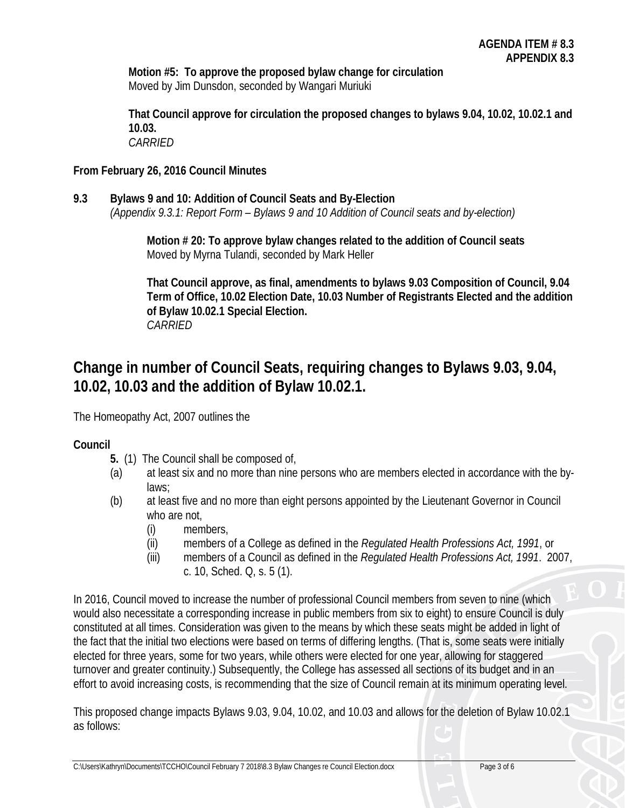**Motion #5: To approve the proposed bylaw change for circulation** Moved by Jim Dunsdon, seconded by Wangari Muriuki

**That Council approve for circulation the proposed changes to bylaws 9.04, 10.02, 10.02.1 and 10.03.** *CARRIED*

# **From February 26, 2016 Council Minutes**

**9.3 Bylaws 9 and 10: Addition of Council Seats and By-Election** *(Appendix 9.3.1: Report Form – Bylaws 9 and 10 Addition of Council seats and by-election)*

> **Motion # 20: To approve bylaw changes related to the addition of Council seats** Moved by Myrna Tulandi, seconded by Mark Heller

**That Council approve, as final, amendments to bylaws 9.03 Composition of Council, 9.04 Term of Office, 10.02 Election Date, 10.03 Number of Registrants Elected and the addition of Bylaw 10.02.1 Special Election.** *CARRIED*

# **Change in number of Council Seats, requiring changes to Bylaws 9.03, 9.04, 10.02, 10.03 and the addition of Bylaw 10.02.1.**

The Homeopathy Act, 2007 outlines the

# **Council**

- **5.** (1) The Council shall be composed of,
- (a) at least six and no more than nine persons who are members elected in accordance with the bylaws;
- (b) at least five and no more than eight persons appointed by the Lieutenant Governor in Council who are not,
	- (i) members,
	- (ii) members of a College as defined in the *Regulated Health Professions Act, 1991*, or
	- (iii) members of a Council as defined in the *Regulated Health Professions Act, 1991*. 2007, c. 10, Sched. Q, s. 5 (1).

In 2016, Council moved to increase the number of professional Council members from seven to nine (which would also necessitate a corresponding increase in public members from six to eight) to ensure Council is duly constituted at all times. Consideration was given to the means by which these seats might be added in light of the fact that the initial two elections were based on terms of differing lengths. (That is, some seats were initially elected for three years, some for two years, while others were elected for one year, allowing for staggered turnover and greater continuity.) Subsequently, the College has assessed all sections of its budget and in an effort to avoid increasing costs, is recommending that the size of Council remain at its minimum operating level.

This proposed change impacts Bylaws 9.03, 9.04, 10.02, and 10.03 and allows for the deletion of Bylaw 10.02.1 as follows: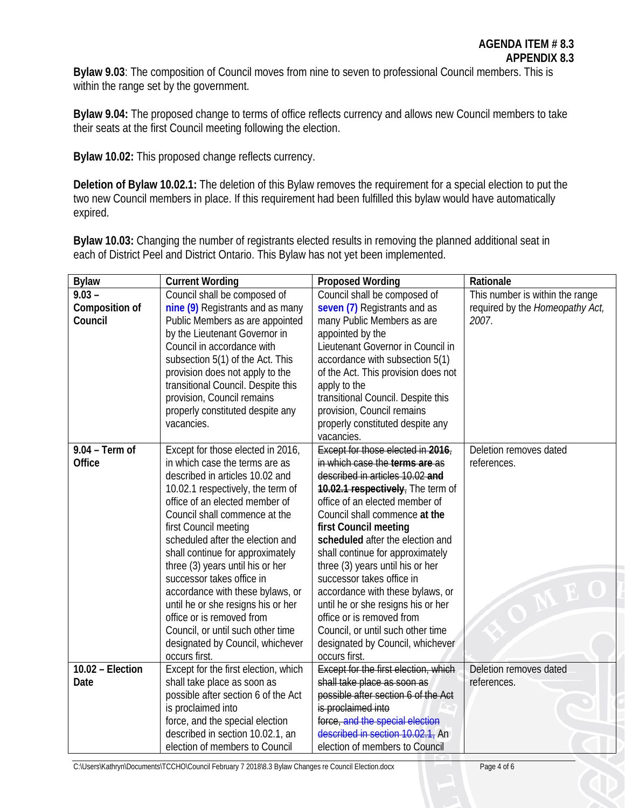**Bylaw 9.03**: The composition of Council moves from nine to seven to professional Council members. This is within the range set by the government.

**Bylaw 9.04:** The proposed change to terms of office reflects currency and allows new Council members to take their seats at the first Council meeting following the election.

**Bylaw 10.02:** This proposed change reflects currency.

**Deletion of Bylaw 10.02.1:** The deletion of this Bylaw removes the requirement for a special election to put the two new Council members in place. If this requirement had been fulfilled this bylaw would have automatically expired.

**Bylaw 10.03:** Changing the number of registrants elected results in removing the planned additional seat in each of District Peel and District Ontario. This Bylaw has not yet been implemented.

| <b>Bylaw</b>     | <b>Current Wording</b>                                          | <b>Proposed Wording</b>                                         | Rationale                       |
|------------------|-----------------------------------------------------------------|-----------------------------------------------------------------|---------------------------------|
| $9.03 -$         | Council shall be composed of                                    | Council shall be composed of                                    | This number is within the range |
| Composition of   | nine (9) Registrants and as many                                | seven (7) Registrants and as                                    | required by the Homeopathy Act, |
| Council          | Public Members as are appointed                                 | many Public Members as are                                      | 2007.                           |
|                  | by the Lieutenant Governor in                                   | appointed by the                                                |                                 |
|                  | Council in accordance with                                      | Lieutenant Governor in Council in                               |                                 |
|                  | subsection 5(1) of the Act. This                                | accordance with subsection 5(1)                                 |                                 |
|                  | provision does not apply to the                                 | of the Act. This provision does not                             |                                 |
|                  | transitional Council. Despite this                              | apply to the                                                    |                                 |
|                  | provision, Council remains                                      | transitional Council. Despite this                              |                                 |
|                  | properly constituted despite any                                | provision, Council remains                                      |                                 |
|                  | vacancies.                                                      | properly constituted despite any                                |                                 |
|                  |                                                                 | vacancies.                                                      |                                 |
| $9.04 - Term of$ | Except for those elected in 2016,                               | Except for those elected in $2016$                              | Deletion removes dated          |
| Office           | in which case the terms are as                                  | in which case the terms are as                                  | references.                     |
|                  | described in articles 10.02 and                                 | described in articles 10.02 and                                 |                                 |
|                  | 10.02.1 respectively, the term of                               | 10.02.1 respectively, The term of                               |                                 |
|                  | office of an elected member of                                  | office of an elected member of                                  |                                 |
|                  | Council shall commence at the                                   | Council shall commence at the                                   |                                 |
|                  | first Council meeting                                           | first Council meeting                                           |                                 |
|                  | scheduled after the election and                                | scheduled after the election and                                |                                 |
|                  | shall continue for approximately                                | shall continue for approximately                                |                                 |
|                  | three (3) years until his or her                                | three (3) years until his or her                                |                                 |
|                  | successor takes office in                                       | successor takes office in                                       |                                 |
|                  | accordance with these bylaws, or                                | accordance with these bylaws, or                                |                                 |
|                  | until he or she resigns his or her<br>office or is removed from | until he or she resigns his or her<br>office or is removed from |                                 |
|                  | Council, or until such other time                               | Council, or until such other time                               |                                 |
|                  | designated by Council, whichever                                | designated by Council, whichever                                |                                 |
|                  | occurs first.                                                   | occurs first.                                                   |                                 |
| 10.02 - Election | Except for the first election, which                            | <b>Except for the first election, which</b>                     | Deletion removes dated          |
| Date             | shall take place as soon as                                     | shall take place as soon as                                     | references.                     |
|                  | possible after section 6 of the Act                             | possible after section 6 of the Act                             |                                 |
|                  | is proclaimed into                                              | is proclaimed into                                              |                                 |
|                  | force, and the special election                                 | force, and the special election                                 |                                 |
|                  | described in section 10.02.1, an                                | described in section 10.02.1, An                                |                                 |
|                  | election of members to Council                                  | election of members to Council                                  |                                 |
|                  |                                                                 |                                                                 |                                 |

C:\Users\Kathryn\Documents\TCCHO\Council February 7 2018\8.3 Bylaw Changes re Council Election.docx Page 4 of 6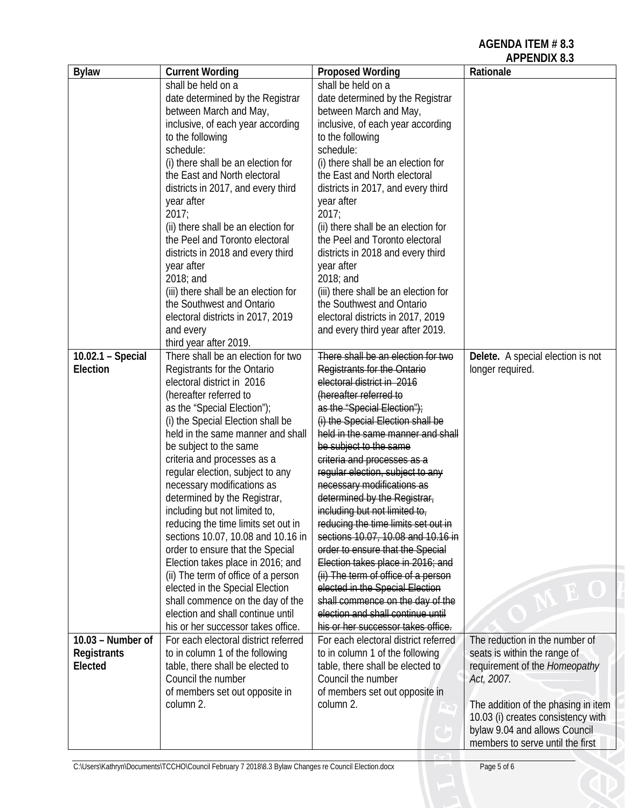**AGENDA ITEM # 8.3**

|                    |                                                                        |                                                                        | <b>APPENDIX 8.3</b>                 |
|--------------------|------------------------------------------------------------------------|------------------------------------------------------------------------|-------------------------------------|
| <b>Bylaw</b>       | <b>Current Wording</b>                                                 | <b>Proposed Wording</b>                                                | Rationale                           |
|                    | shall be held on a                                                     | shall be held on a                                                     |                                     |
|                    | date determined by the Registrar                                       | date determined by the Registrar                                       |                                     |
|                    | between March and May,                                                 | between March and May,                                                 |                                     |
|                    | inclusive, of each year according                                      | inclusive, of each year according                                      |                                     |
|                    | to the following                                                       | to the following                                                       |                                     |
|                    | schedule:                                                              | schedule:                                                              |                                     |
|                    | (i) there shall be an election for                                     | (i) there shall be an election for                                     |                                     |
|                    | the East and North electoral                                           | the East and North electoral                                           |                                     |
|                    | districts in 2017, and every third                                     | districts in 2017, and every third                                     |                                     |
|                    | year after<br>2017;                                                    | year after<br>2017:                                                    |                                     |
|                    | (ii) there shall be an election for                                    | (ii) there shall be an election for                                    |                                     |
|                    | the Peel and Toronto electoral                                         | the Peel and Toronto electoral                                         |                                     |
|                    | districts in 2018 and every third                                      | districts in 2018 and every third                                      |                                     |
|                    | year after                                                             | year after                                                             |                                     |
|                    | 2018; and                                                              | 2018; and                                                              |                                     |
|                    | (iii) there shall be an election for                                   | (iii) there shall be an election for                                   |                                     |
|                    | the Southwest and Ontario                                              | the Southwest and Ontario                                              |                                     |
|                    | electoral districts in 2017, 2019                                      | electoral districts in 2017, 2019                                      |                                     |
|                    | and every                                                              | and every third year after 2019.                                       |                                     |
|                    | third year after 2019.                                                 |                                                                        |                                     |
| 10.02.1 - Special  | There shall be an election for two                                     | There shall be an election for two                                     | Delete. A special election is not   |
| Election           | Registrants for the Ontario                                            | Registrants for the Ontario                                            | longer required.                    |
|                    | electoral district in 2016                                             | electoral district in 2016                                             |                                     |
|                    | (hereafter referred to                                                 | (hereafter referred to                                                 |                                     |
|                    | as the "Special Election");<br>(i) the Special Election shall be       | as the "Special Election");<br>(i) the Special Election shall be       |                                     |
|                    | held in the same manner and shall                                      | held in the same manner and shall                                      |                                     |
|                    | be subject to the same                                                 | be subject to the same                                                 |                                     |
|                    | criteria and processes as a                                            | criteria and processes as a                                            |                                     |
|                    | regular election, subject to any                                       | regular election, subject to any                                       |                                     |
|                    | necessary modifications as                                             | necessary modifications as                                             |                                     |
|                    | determined by the Registrar,                                           | determined by the Registrar,                                           |                                     |
|                    | including but not limited to,                                          | including but not limited to,                                          |                                     |
|                    | reducing the time limits set out in                                    | reducing the time limits set out in                                    |                                     |
|                    | sections 10.07, 10.08 and 10.16 in                                     | sections 10.07, 10.08 and 10.16 in                                     |                                     |
|                    | order to ensure that the Special                                       | order to ensure that the Special                                       |                                     |
|                    | Election takes place in 2016; and                                      | Election takes place in 2016; and                                      |                                     |
|                    | (ii) The term of office of a person<br>elected in the Special Election | (ii) The term of office of a person<br>elected in the Special Election |                                     |
|                    | shall commence on the day of the                                       | shall commence on the day of the                                       |                                     |
|                    | election and shall continue until                                      | election and shall continue until                                      |                                     |
|                    | his or her successor takes office.                                     | his or her successor takes office.                                     |                                     |
| 10.03 - Number of  | For each electoral district referred                                   | For each electoral district referred                                   | The reduction in the number of      |
| <b>Registrants</b> | to in column 1 of the following                                        | to in column 1 of the following                                        | seats is within the range of        |
| Elected            | table, there shall be elected to                                       | table, there shall be elected to                                       | requirement of the Homeopathy       |
|                    | Council the number                                                     | Council the number                                                     | Act, 2007.                          |
|                    | of members set out opposite in                                         | of members set out opposite in                                         |                                     |
|                    | column 2.                                                              | column 2.                                                              | The addition of the phasing in item |
|                    |                                                                        |                                                                        | 10.03 (i) creates consistency with  |
|                    |                                                                        |                                                                        | bylaw 9.04 and allows Council       |
|                    |                                                                        |                                                                        | members to serve until the first    |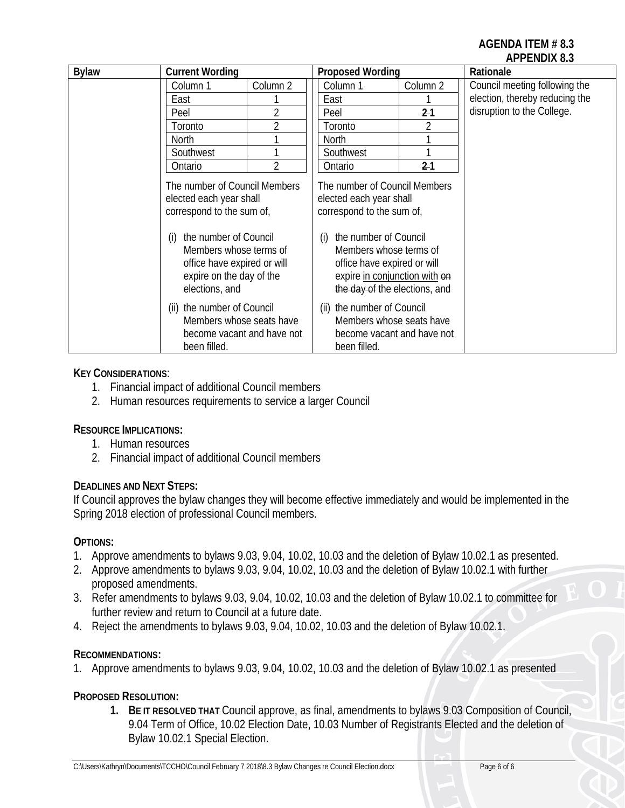# **AGENDA ITEM # 8.3 APPENDIX 8.3**

| <b>Bylaw</b> | <b>Current Wording</b>                                                                                                                                                                                                       |                | <b>Proposed Wording</b>                                                                                                                                                                                                                          |          | Rationale                      |
|--------------|------------------------------------------------------------------------------------------------------------------------------------------------------------------------------------------------------------------------------|----------------|--------------------------------------------------------------------------------------------------------------------------------------------------------------------------------------------------------------------------------------------------|----------|--------------------------------|
|              | Column 1                                                                                                                                                                                                                     | Column 2       | Column 1                                                                                                                                                                                                                                         | Column 2 | Council meeting following the  |
|              | East                                                                                                                                                                                                                         |                | East                                                                                                                                                                                                                                             |          | election, thereby reducing the |
|              | Peel                                                                                                                                                                                                                         | $\overline{2}$ | Peel                                                                                                                                                                                                                                             | $2-1$    | disruption to the College.     |
|              | Toronto                                                                                                                                                                                                                      | $\overline{2}$ | Toronto                                                                                                                                                                                                                                          |          |                                |
|              | <b>North</b>                                                                                                                                                                                                                 |                | North                                                                                                                                                                                                                                            |          |                                |
|              | Southwest                                                                                                                                                                                                                    | 1              | Southwest                                                                                                                                                                                                                                        |          |                                |
|              | Ontario                                                                                                                                                                                                                      | $\overline{2}$ | Ontario                                                                                                                                                                                                                                          | 21       |                                |
|              | The number of Council Members<br>elected each year shall<br>correspond to the sum of,<br>the number of Council<br>(i)<br>Members whose terms of<br>office have expired or will<br>expire on the day of the<br>elections, and |                | The number of Council Members<br>elected each year shall<br>correspond to the sum of,<br>the number of Council<br>(i)<br>Members whose terms of<br>office have expired or will<br>expire in conjunction with on<br>the day of the elections, and |          |                                |
|              | (ii) the number of Council<br>Members whose seats have<br>become vacant and have not<br>been filled.                                                                                                                         |                | (ii) the number of Council<br>Members whose seats have<br>become vacant and have not<br>been filled.                                                                                                                                             |          |                                |

# **KEY CONSIDERATIONS**:

- 1. Financial impact of additional Council members
- 2. Human resources requirements to service a larger Council

# **RESOURCE IMPLICATIONS:**

- 1. Human resources
- 2. Financial impact of additional Council members

# **DEADLINES AND NEXT STEPS:**

If Council approves the bylaw changes they will become effective immediately and would be implemented in the Spring 2018 election of professional Council members.

# **OPTIONS:**

- 1. Approve amendments to bylaws 9.03, 9.04, 10.02, 10.03 and the deletion of Bylaw 10.02.1 as presented.
- 2. Approve amendments to bylaws 9.03, 9.04, 10.02, 10.03 and the deletion of Bylaw 10.02.1 with further proposed amendments.
- 3. Refer amendments to bylaws 9.03, 9.04, 10.02, 10.03 and the deletion of Bylaw 10.02.1 to committee for further review and return to Council at a future date.
- 4. Reject the amendments to bylaws 9.03, 9.04, 10.02, 10.03 and the deletion of Bylaw 10.02.1.

# **RECOMMENDATIONS:**

1. Approve amendments to bylaws 9.03, 9.04, 10.02, 10.03 and the deletion of Bylaw 10.02.1 as presented

# **PROPOSED RESOLUTION:**

**1. BE IT RESOLVED THAT** Council approve, as final, amendments to bylaws 9.03 Composition of Council, 9.04 Term of Office, 10.02 Election Date, 10.03 Number of Registrants Elected and the deletion of Bylaw 10.02.1 Special Election.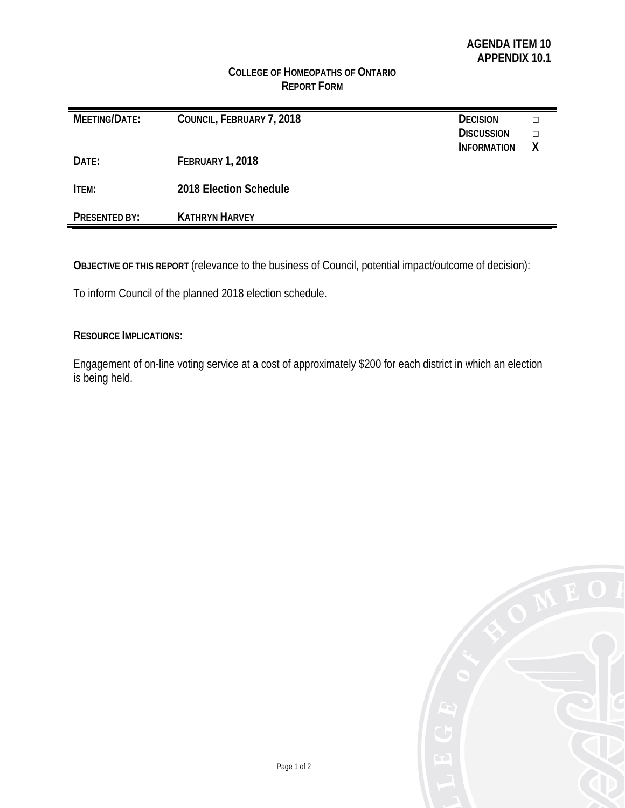# **COLLEGE OF HOMEOPATHS OF ONTARIO REPORT FORM**

| MEETING/DATE:        | COUNCIL, FEBRUARY 7, 2018 | <b>DECISION</b><br><b>DISCUSSION</b><br><b>INFORMATION</b> |  |
|----------------------|---------------------------|------------------------------------------------------------|--|
| DATE:                | <b>FEBRUARY 1, 2018</b>   |                                                            |  |
| ITEM:                | 2018 Election Schedule    |                                                            |  |
| <b>PRESENTED BY:</b> | <b>KATHRYN HARVEY</b>     |                                                            |  |

**OBJECTIVE OF THIS REPORT** (relevance to the business of Council, potential impact/outcome of decision):

To inform Council of the planned 2018 election schedule.

#### **RESOURCE IMPLICATIONS:**

Engagement of on-line voting service at a cost of approximately \$200 for each district in which an election is being held.

|        | E O<br>f |
|--------|----------|
|        |          |
| E<br>B |          |
|        |          |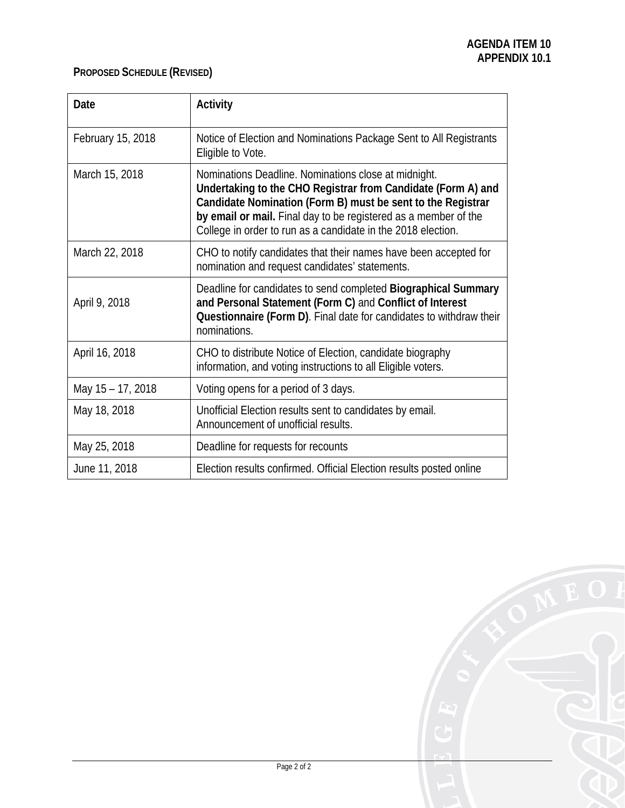# **PROPOSED SCHEDULE (REVISED)**

| Date              | <b>Activity</b>                                                                                                                                                                                                                                                                                                        |
|-------------------|------------------------------------------------------------------------------------------------------------------------------------------------------------------------------------------------------------------------------------------------------------------------------------------------------------------------|
| February 15, 2018 | Notice of Election and Nominations Package Sent to All Registrants<br>Eligible to Vote.                                                                                                                                                                                                                                |
| March 15, 2018    | Nominations Deadline. Nominations close at midnight.<br>Undertaking to the CHO Registrar from Candidate (Form A) and<br>Candidate Nomination (Form B) must be sent to the Registrar<br>by email or mail. Final day to be registered as a member of the<br>College in order to run as a candidate in the 2018 election. |
| March 22, 2018    | CHO to notify candidates that their names have been accepted for<br>nomination and request candidates' statements.                                                                                                                                                                                                     |
| April 9, 2018     | Deadline for candidates to send completed Biographical Summary<br>and Personal Statement (Form C) and Conflict of Interest<br>Questionnaire (Form D). Final date for candidates to withdraw their<br>nominations.                                                                                                      |
| April 16, 2018    | CHO to distribute Notice of Election, candidate biography<br>information, and voting instructions to all Eligible voters.                                                                                                                                                                                              |
| May 15 - 17, 2018 | Voting opens for a period of 3 days.                                                                                                                                                                                                                                                                                   |
| May 18, 2018      | Unofficial Election results sent to candidates by email.<br>Announcement of unofficial results.                                                                                                                                                                                                                        |
| May 25, 2018      | Deadline for requests for recounts                                                                                                                                                                                                                                                                                     |
| June 11, 2018     | Election results confirmed. Official Election results posted online                                                                                                                                                                                                                                                    |

|                 | E O    |
|-----------------|--------|
|                 |        |
| E               |        |
| $\overline{B}$  |        |
| <b>Contract</b> | Ó<br>D |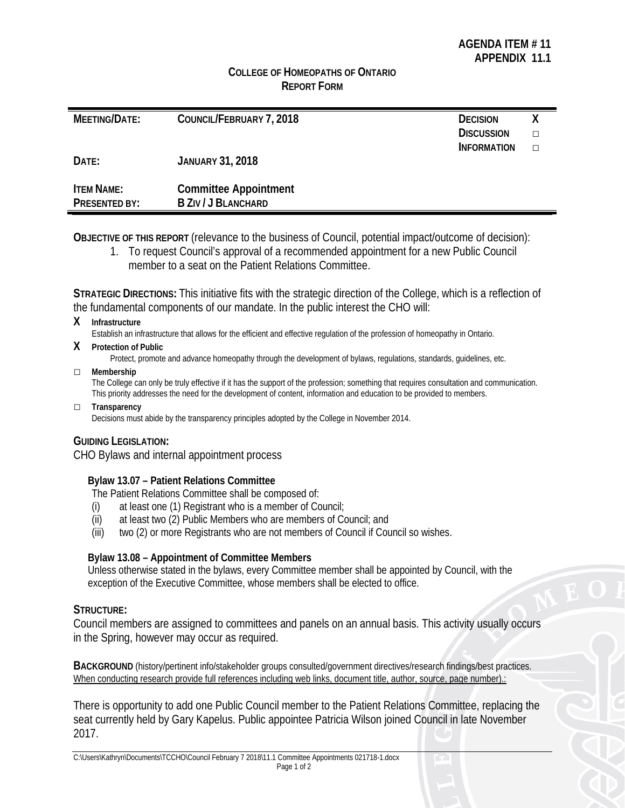## **COLLEGE OF HOMEOPATHS OF ONTARIO REPORT FORM**

| MEETING/DATE:     | COUNCIL/FEBRUARY 7, 2018     | <b>DECISION</b>    |   |
|-------------------|------------------------------|--------------------|---|
|                   |                              | <b>DISCUSSION</b>  | п |
|                   |                              | <b>INFORMATION</b> | П |
| DATE:             | <b>JANUARY 31, 2018</b>      |                    |   |
| <b>ITEM NAME:</b> | <b>Committee Appointment</b> |                    |   |
| PRESENTED BY:     | <b>B ZIV / J BLANCHARD</b>   |                    |   |

**OBJECTIVE OF THIS REPORT** (relevance to the business of Council, potential impact/outcome of decision):

1. To request Council's approval of a recommended appointment for a new Public Council member to a seat on the Patient Relations Committee.

**STRATEGIC DIRECTIONS:** This initiative fits with the strategic direction of the College, which is a reflection of the fundamental components of our mandate. In the public interest the CHO will:

#### **X Infrastructure**

Establish an infrastructure that allows for the efficient and effective regulation of the profession of homeopathy in Ontario.

**X Protection of Public**

Protect, promote and advance homeopathy through the development of bylaws, regulations, standards, guidelines, etc.

#### □ **Membership**

The College can only be truly effective if it has the support of the profession; something that requires consultation and communication. This priority addresses the need for the development of content, information and education to be provided to members.

# □ **Transparency**

Decisions must abide by the transparency principles adopted by the College in November 2014.

#### **GUIDING LEGISLATION:**

CHO Bylaws and internal appointment process

# **Bylaw 13.07 – Patient Relations Committee**

The Patient Relations Committee shall be composed of:

- (i) at least one (1) Registrant who is a member of Council;
- (ii) at least two (2) Public Members who are members of Council; and
- (iii) two (2) or more Registrants who are not members of Council if Council so wishes.

#### **Bylaw 13.08 – Appointment of Committee Members**

Unless otherwise stated in the bylaws, every Committee member shall be appointed by Council, with the exception of the Executive Committee, whose members shall be elected to office.

#### **STRUCTURE:**

Council members are assigned to committees and panels on an annual basis. This activity usually occurs in the Spring, however may occur as required.

**BACKGROUND** (history/pertinent info/stakeholder groups consulted/government directives/research findings/best practices. When conducting research provide full references including web links, document title, author, source, page number).:

There is opportunity to add one Public Council member to the Patient Relations Committee, replacing the seat currently held by Gary Kapelus. Public appointee Patricia Wilson joined Council in late November 2017.